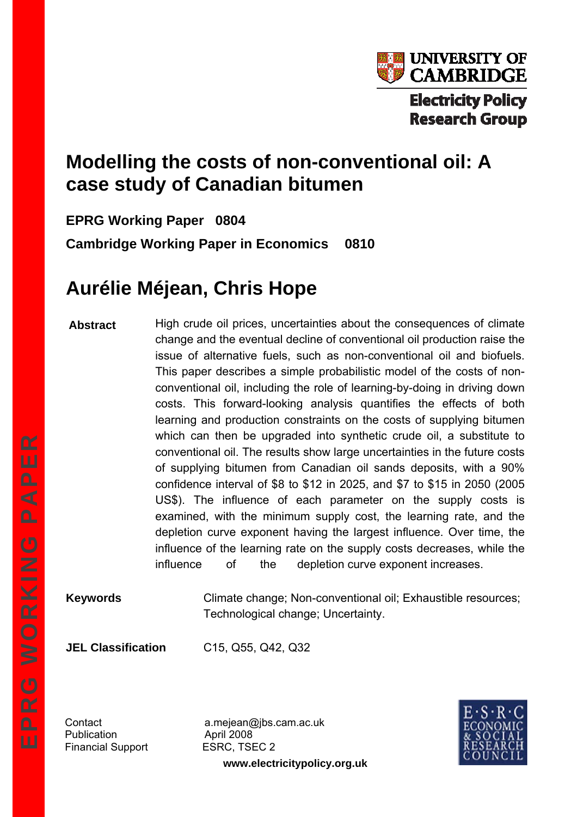

# **Electricity Policy Research Group**

# **Modelling the costs of non-conventional oil: A case study of Canadian bitumen**

**EPRG Working Paper 0804** 

**Cambridge Working Paper in Economics 0810** 

# **Aurélie Méjean, Chris Hope**

**Abstract**  High crude oil prices, uncertainties about the consequences of climate change and the eventual decline of conventional oil production raise the issue of alternative fuels, such as non-conventional oil and biofuels. This paper describes a simple probabilistic model of the costs of nonconventional oil, including the role of learning-by-doing in driving down costs. This forward-looking analysis quantifies the effects of both learning and production constraints on the costs of supplying bitumen which can then be upgraded into synthetic crude oil, a substitute to conventional oil. The results show large uncertainties in the future costs of supplying bitumen from Canadian oil sands deposits, with a 90% confidence interval of \$8 to \$12 in 2025, and \$7 to \$15 in 2050 (2005 US\$). The influence of each parameter on the supply costs is examined, with the minimum supply cost, the learning rate, and the depletion curve exponent having the largest influence. Over time, the influence of the learning rate on the supply costs decreases, while the influence of the depletion curve exponent increases.

**Keywords** Climate change; Non-conventional oil; Exhaustible resources; Technological change; Uncertainty.

**JEL Classification** C15, Q55, Q42, Q32

Publication **April 2008** Financial Support ESRC, TSEC 2

**www.electricitypolicy.org.uk** Contact a.mejean@jbs.cam.ac.uk

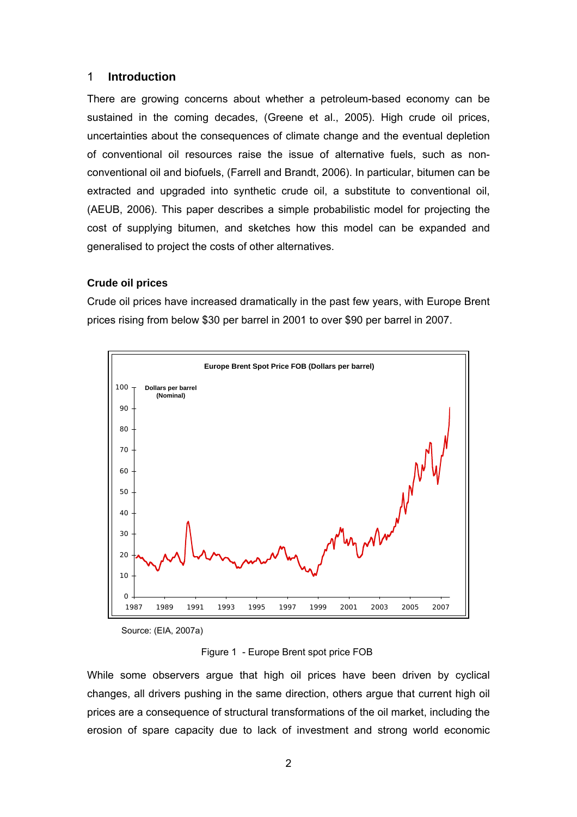# 1 **Introduction**

There are growing concerns about whether a petroleum-based economy can be sustained in the coming decades, (Greene et al., 2005). High crude oil prices, uncertainties about the consequences of climate change and the eventual depletion of conventional oil resources raise the issue of alternative fuels, such as nonconventional oil and biofuels, (Farrell and Brandt, 2006). In particular, bitumen can be extracted and upgraded into synthetic crude oil, a substitute to conventional oil, (AEUB, 2006). This paper describes a simple probabilistic model for projecting the cost of supplying bitumen, and sketches how this model can be expanded and generalised to project the costs of other alternatives.

#### **Crude oil prices**

Crude oil prices have increased dramatically in the past few years, with Europe Brent prices rising from below \$30 per barrel in 2001 to over \$90 per barrel in 2007.



Source: (EIA, 2007a)

Figure 1 - Europe Brent spot price FOB

While some observers argue that high oil prices have been driven by cyclical changes, all drivers pushing in the same direction, others argue that current high oil prices are a consequence of structural transformations of the oil market, including the erosion of spare capacity due to lack of investment and strong world economic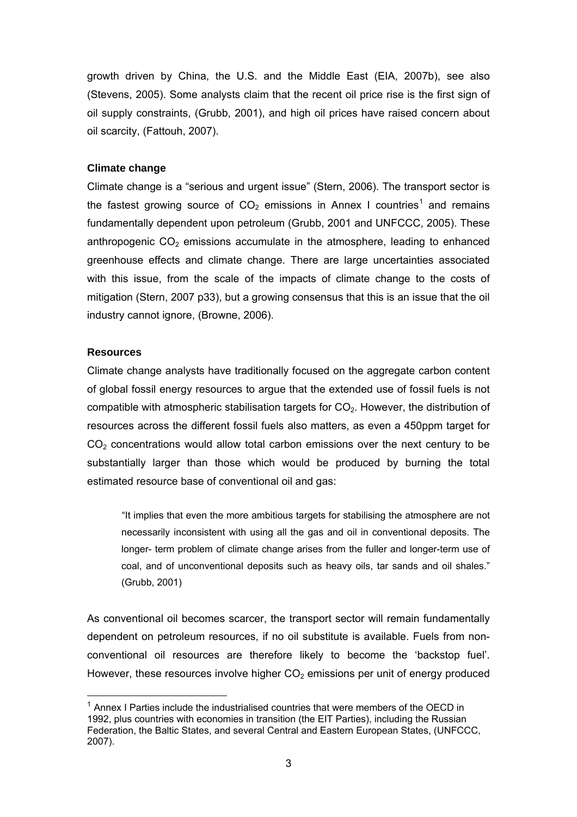growth driven by China, the U.S. and the Middle East (EIA, 2007b), see also (Stevens, 2005). Some analysts claim that the recent oil price rise is the first sign of oil supply constraints, (Grubb, 2001), and high oil prices have raised concern about oil scarcity, (Fattouh, 2007).

#### **Climate change**

Climate change is a "serious and urgent issue" (Stern, 2006). The transport sector is the fastest growing source of  $CO<sub>2</sub>$  emissions in Annex I countries<sup>[1](#page-2-0)</sup> and remains fundamentally dependent upon petroleum (Grubb, 2001 and UNFCCC, 2005). These anthropogenic  $CO<sub>2</sub>$  emissions accumulate in the atmosphere, leading to enhanced greenhouse effects and climate change. There are large uncertainties associated with this issue, from the scale of the impacts of climate change to the costs of mitigation (Stern, 2007 p33), but a growing consensus that this is an issue that the oil industry cannot ignore, (Browne, 2006).

#### **Resources**

l

Climate change analysts have traditionally focused on the aggregate carbon content of global fossil energy resources to argue that the extended use of fossil fuels is not compatible with atmospheric stabilisation targets for  $CO<sub>2</sub>$ . However, the distribution of resources across the different fossil fuels also matters, as even a 450ppm target for  $CO<sub>2</sub>$  concentrations would allow total carbon emissions over the next century to be substantially larger than those which would be produced by burning the total estimated resource base of conventional oil and gas:

"It implies that even the more ambitious targets for stabilising the atmosphere are not necessarily inconsistent with using all the gas and oil in conventional deposits. The longer- term problem of climate change arises from the fuller and longer-term use of coal, and of unconventional deposits such as heavy oils, tar sands and oil shales." (Grubb, 2001)

As conventional oil becomes scarcer, the transport sector will remain fundamentally dependent on petroleum resources, if no oil substitute is available. Fuels from nonconventional oil resources are therefore likely to become the 'backstop fuel'. However, these resources involve higher  $CO<sub>2</sub>$  emissions per unit of energy produced

<span id="page-2-0"></span> $1$  Annex I Parties include the industrialised countries that were members of the OECD in 1992, plus countries with economies in transition (the EIT Parties), including the Russian Federation, the Baltic States, and several Central and Eastern European States, (UNFCCC, 2007).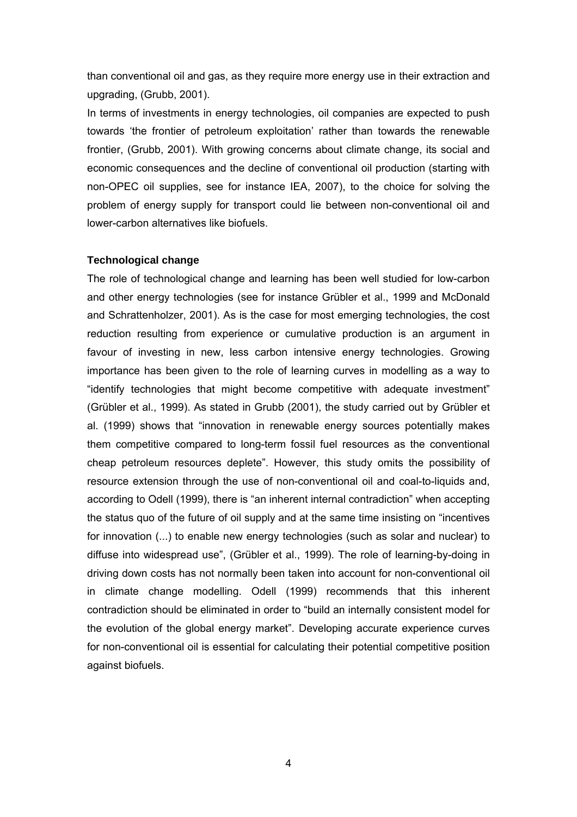than conventional oil and gas, as they require more energy use in their extraction and upgrading, (Grubb, 2001).

In terms of investments in energy technologies, oil companies are expected to push towards 'the frontier of petroleum exploitation' rather than towards the renewable frontier, (Grubb, 2001). With growing concerns about climate change, its social and economic consequences and the decline of conventional oil production (starting with non-OPEC oil supplies, see for instance IEA, 2007), to the choice for solving the problem of energy supply for transport could lie between non-conventional oil and lower-carbon alternatives like biofuels.

#### **Technological change**

The role of technological change and learning has been well studied for low-carbon and other energy technologies (see for instance Grübler et al., 1999 and McDonald and Schrattenholzer, 2001). As is the case for most emerging technologies, the cost reduction resulting from experience or cumulative production is an argument in favour of investing in new, less carbon intensive energy technologies. Growing importance has been given to the role of learning curves in modelling as a way to "identify technologies that might become competitive with adequate investment" (Grübler et al., 1999). As stated in Grubb (2001), the study carried out by Grübler et al. (1999) shows that "innovation in renewable energy sources potentially makes them competitive compared to long-term fossil fuel resources as the conventional cheap petroleum resources deplete". However, this study omits the possibility of resource extension through the use of non-conventional oil and coal-to-liquids and, according to Odell (1999), there is "an inherent internal contradiction" when accepting the status quo of the future of oil supply and at the same time insisting on "incentives for innovation (...) to enable new energy technologies (such as solar and nuclear) to diffuse into widespread use", (Grübler et al., 1999). The role of learning-by-doing in driving down costs has not normally been taken into account for non-conventional oil in climate change modelling. Odell (1999) recommends that this inherent contradiction should be eliminated in order to "build an internally consistent model for the evolution of the global energy market". Developing accurate experience curves for non-conventional oil is essential for calculating their potential competitive position against biofuels.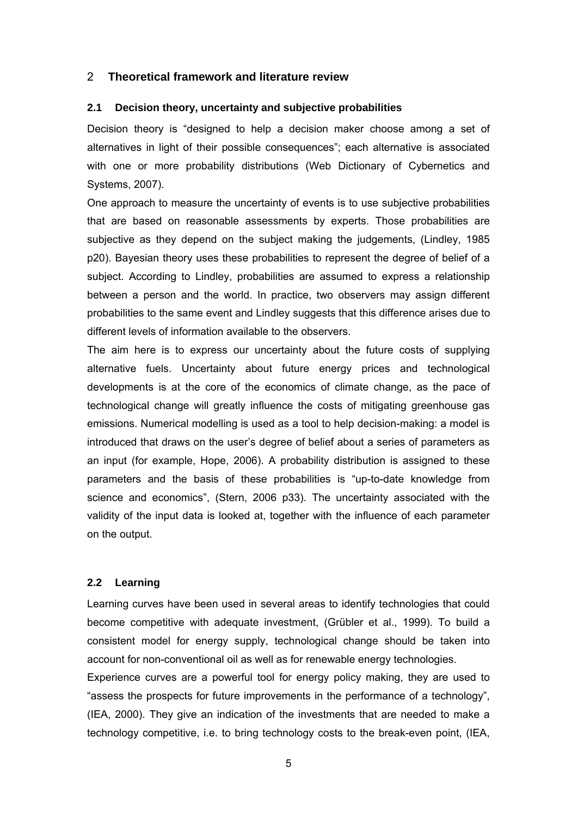#### 2 **Theoretical framework and literature review**

#### **2.1 Decision theory, uncertainty and subjective probabilities**

Decision theory is "designed to help a decision maker choose among a set of alternatives in light of their possible consequences"; each alternative is associated with one or more probability distributions (Web Dictionary of Cybernetics and Systems, 2007).

One approach to measure the uncertainty of events is to use subjective probabilities that are based on reasonable assessments by experts. Those probabilities are subjective as they depend on the subject making the judgements, (Lindley, 1985 p20). Bayesian theory uses these probabilities to represent the degree of belief of a subject. According to Lindley, probabilities are assumed to express a relationship between a person and the world. In practice, two observers may assign different probabilities to the same event and Lindley suggests that this difference arises due to different levels of information available to the observers.

The aim here is to express our uncertainty about the future costs of supplying alternative fuels. Uncertainty about future energy prices and technological developments is at the core of the economics of climate change, as the pace of technological change will greatly influence the costs of mitigating greenhouse gas emissions. Numerical modelling is used as a tool to help decision-making: a model is introduced that draws on the user's degree of belief about a series of parameters as an input (for example, Hope, 2006). A probability distribution is assigned to these parameters and the basis of these probabilities is "up-to-date knowledge from science and economics", (Stern, 2006 p33). The uncertainty associated with the validity of the input data is looked at, together with the influence of each parameter on the output.

# **2.2 Learning**

Learning curves have been used in several areas to identify technologies that could become competitive with adequate investment, (Grübler et al., 1999). To build a consistent model for energy supply, technological change should be taken into account for non-conventional oil as well as for renewable energy technologies.

Experience curves are a powerful tool for energy policy making, they are used to "assess the prospects for future improvements in the performance of a technology", (IEA, 2000). They give an indication of the investments that are needed to make a technology competitive, i.e. to bring technology costs to the break-even point, (IEA,

5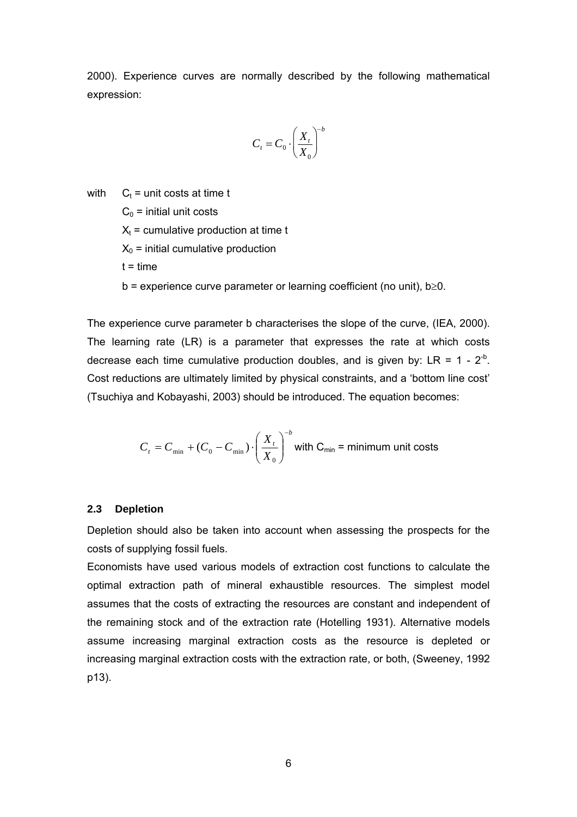2000). Experience curves are normally described by the following mathematical expression:

$$
C_t = C_0 \cdot \left(\frac{X_t}{X_0}\right)^{-b}
$$

with  $C_t$  = unit costs at time t

 $C_0$  = initial unit costs

 $X_t$  = cumulative production at time t

 $X_0$  = initial cumulative production

 $t = time$ 

 $b =$  experience curve parameter or learning coefficient (no unit),  $b \ge 0$ .

The experience curve parameter b characterises the slope of the curve, (IEA, 2000). The learning rate (LR) is a parameter that expresses the rate at which costs decrease each time cumulative production doubles, and is given by:  $LR = 1 - 2^{-b}$ . Cost reductions are ultimately limited by physical constraints, and a 'bottom line cost' (Tsuchiya and Kobayashi, 2003) should be introduced. The equation becomes:

$$
C_{t} = C_{\min} + (C_0 - C_{\min}) \cdot \left(\frac{X_{t}}{X_0}\right)^{-b}
$$
 with C<sub>min</sub> = minimum unit costs

#### **2.3 Depletion**

Depletion should also be taken into account when assessing the prospects for the costs of supplying fossil fuels.

Economists have used various models of extraction cost functions to calculate the optimal extraction path of mineral exhaustible resources. The simplest model assumes that the costs of extracting the resources are constant and independent of the remaining stock and of the extraction rate (Hotelling 1931). Alternative models assume increasing marginal extraction costs as the resource is depleted or increasing marginal extraction costs with the extraction rate, or both, (Sweeney, 1992 p13).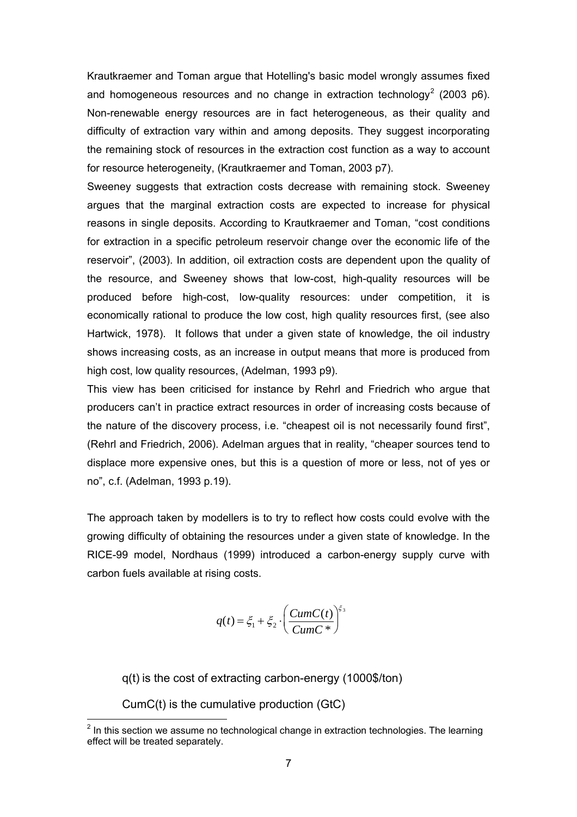Krautkraemer and Toman argue that Hotelling's basic model wrongly assumes fixed and homogeneous resources and no change in extraction technology<sup>[2](#page-6-0)</sup> (2003 p6). Non-renewable energy resources are in fact heterogeneous, as their quality and difficulty of extraction vary within and among deposits. They suggest incorporating the remaining stock of resources in the extraction cost function as a way to account for resource heterogeneity, (Krautkraemer and Toman, 2003 p7).

Sweeney suggests that extraction costs decrease with remaining stock. Sweeney argues that the marginal extraction costs are expected to increase for physical reasons in single deposits. According to Krautkraemer and Toman, "cost conditions for extraction in a specific petroleum reservoir change over the economic life of the reservoir", (2003). In addition, oil extraction costs are dependent upon the quality of the resource, and Sweeney shows that low-cost, high-quality resources will be produced before high-cost, low-quality resources: under competition, it is economically rational to produce the low cost, high quality resources first, (see also Hartwick, 1978). It follows that under a given state of knowledge, the oil industry shows increasing costs, as an increase in output means that more is produced from high cost, low quality resources, (Adelman, 1993 p9).

This view has been criticised for instance by Rehrl and Friedrich who argue that producers can't in practice extract resources in order of increasing costs because of the nature of the discovery process, i.e. "cheapest oil is not necessarily found first", (Rehrl and Friedrich, 2006). Adelman argues that in reality, "cheaper sources tend to displace more expensive ones, but this is a question of more or less, not of yes or no", c.f. (Adelman, 1993 p.19).

The approach taken by modellers is to try to reflect how costs could evolve with the growing difficulty of obtaining the resources under a given state of knowledge. In the RICE-99 model, Nordhaus (1999) introduced a carbon-energy supply curve with carbon fuels available at rising costs.

$$
q(t) = \xi_1 + \xi_2 \cdot \left(\frac{CumC(t)}{CumC^*}\right)^{\xi_3}
$$

q(t) is the cost of extracting carbon-energy (1000\$/ton)

CumC(t) is the cumulative production (GtC)

<span id="page-6-0"></span>**EXECUTE:**<br><sup>2</sup> In this section we assume no technological change in extraction technologies. The learning effect will be treated separately.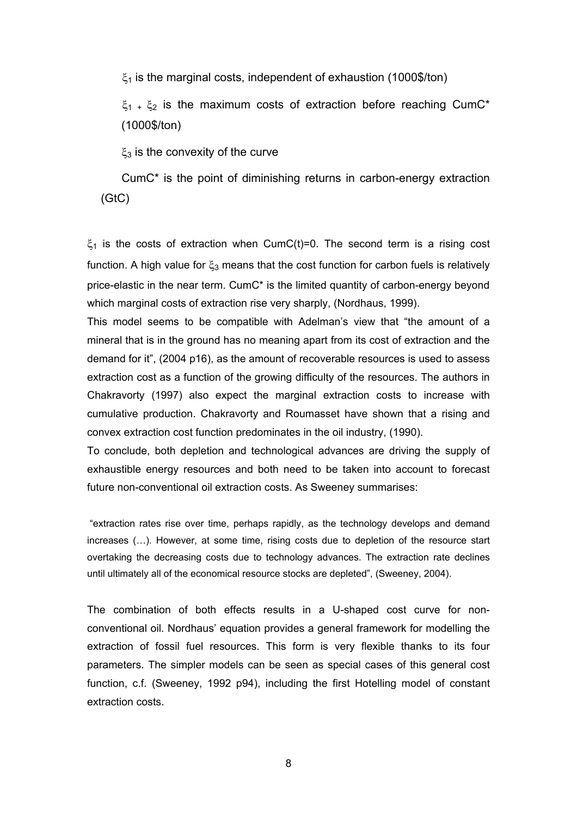$\xi_1$  is the marginal costs, independent of exhaustion (1000\$/ton)

 $\xi_1$  +  $\xi_2$  is the maximum costs of extraction before reaching CumC<sup>\*</sup> (1000\$/ton)

 $\xi_3$  is the convexity of the curve

 CumC\* is the point of diminishing returns in carbon-energy extraction (GtC)

 $\xi_1$  is the costs of extraction when CumC(t)=0. The second term is a rising cost function. A high value for  $\xi_3$  means that the cost function for carbon fuels is relatively price-elastic in the near term. CumC\* is the limited quantity of carbon-energy beyond which marginal costs of extraction rise very sharply, (Nordhaus, 1999).

This model seems to be compatible with Adelman's view that "the amount of a mineral that is in the ground has no meaning apart from its cost of extraction and the demand for it", (2004 p16), as the amount of recoverable resources is used to assess extraction cost as a function of the growing difficulty of the resources. The authors in Chakravorty (1997) also expect the marginal extraction costs to increase with cumulative production. Chakravorty and Roumasset have shown that a rising and convex extraction cost function predominates in the oil industry, (1990).

To conclude, both depletion and technological advances are driving the supply of exhaustible energy resources and both need to be taken into account to forecast future non-conventional oil extraction costs. As Sweeney summarises:

 "extraction rates rise over time, perhaps rapidly, as the technology develops and demand increases (…). However, at some time, rising costs due to depletion of the resource start overtaking the decreasing costs due to technology advances. The extraction rate declines until ultimately all of the economical resource stocks are depleted", (Sweeney, 2004).

The combination of both effects results in a U-shaped cost curve for nonconventional oil. Nordhaus' equation provides a general framework for modelling the extraction of fossil fuel resources. This form is very flexible thanks to its four parameters. The simpler models can be seen as special cases of this general cost function, c.f. (Sweeney, 1992 p94), including the first Hotelling model of constant extraction costs.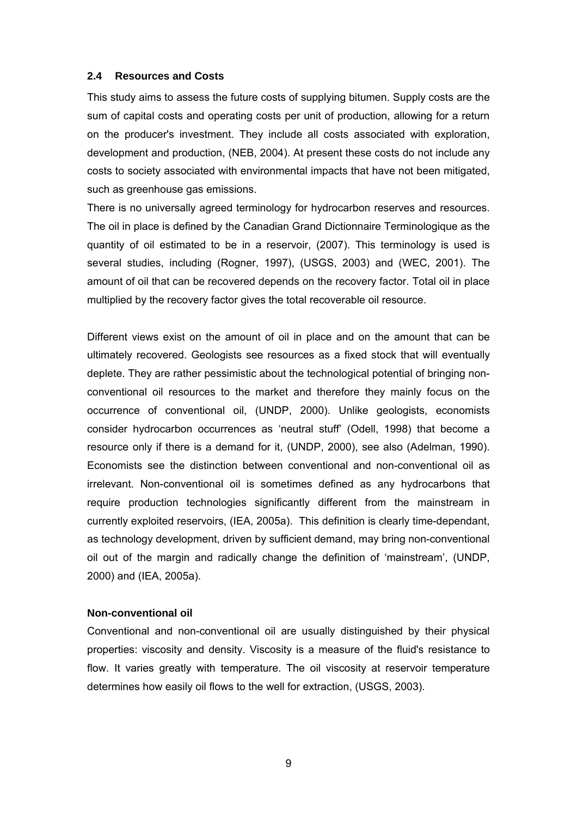#### **2.4 Resources and Costs**

This study aims to assess the future costs of supplying bitumen. Supply costs are the sum of capital costs and operating costs per unit of production, allowing for a return on the producer's investment. They include all costs associated with exploration, development and production, (NEB, 2004). At present these costs do not include any costs to society associated with environmental impacts that have not been mitigated, such as greenhouse gas emissions.

There is no universally agreed terminology for hydrocarbon reserves and resources. The oil in place is defined by the Canadian Grand Dictionnaire Terminologique as the quantity of oil estimated to be in a reservoir, (2007). This terminology is used is several studies, including (Rogner, 1997), (USGS, 2003) and (WEC, 2001). The amount of oil that can be recovered depends on the recovery factor. Total oil in place multiplied by the recovery factor gives the total recoverable oil resource.

Different views exist on the amount of oil in place and on the amount that can be ultimately recovered. Geologists see resources as a fixed stock that will eventually deplete. They are rather pessimistic about the technological potential of bringing nonconventional oil resources to the market and therefore they mainly focus on the occurrence of conventional oil, (UNDP, 2000). Unlike geologists, economists consider hydrocarbon occurrences as 'neutral stuff' (Odell, 1998) that become a resource only if there is a demand for it, (UNDP, 2000), see also (Adelman, 1990). Economists see the distinction between conventional and non-conventional oil as irrelevant. Non-conventional oil is sometimes defined as any hydrocarbons that require production technologies significantly different from the mainstream in currently exploited reservoirs, (IEA, 2005a). This definition is clearly time-dependant, as technology development, driven by sufficient demand, may bring non-conventional oil out of the margin and radically change the definition of 'mainstream', (UNDP, 2000) and (IEA, 2005a).

#### **Non-conventional oil**

Conventional and non-conventional oil are usually distinguished by their physical properties: viscosity and density. Viscosity is a measure of the fluid's resistance to flow. It varies greatly with temperature. The oil viscosity at reservoir temperature determines how easily oil flows to the well for extraction, (USGS, 2003).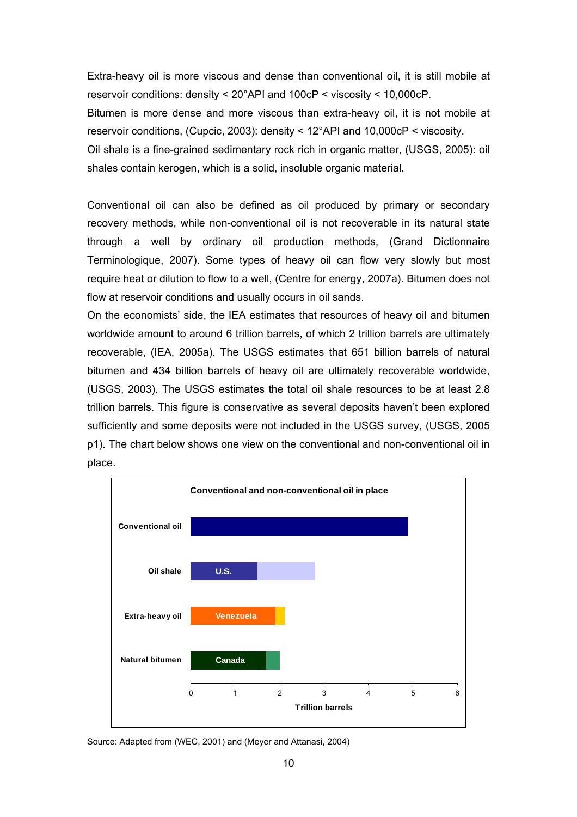Extra-heavy oil is more viscous and dense than conventional oil, it is still mobile at reservoir conditions: density < 20°API and 100cP < viscosity < 10,000cP.

Bitumen is more dense and more viscous than extra-heavy oil, it is not mobile at reservoir conditions, (Cupcic, 2003): density < 12°API and 10,000cP < viscosity.

Oil shale is a fine-grained sedimentary rock rich in organic matter, (USGS, 2005): oil shales contain kerogen, which is a solid, insoluble organic material.

Conventional oil can also be defined as oil produced by primary or secondary recovery methods, while non-conventional oil is not recoverable in its natural state through a well by ordinary oil production methods, (Grand Dictionnaire Terminologique, 2007). Some types of heavy oil can flow very slowly but most require heat or dilution to flow to a well, (Centre for energy, 2007a). Bitumen does not flow at reservoir conditions and usually occurs in oil sands.

On the economists' side, the IEA estimates that resources of heavy oil and bitumen worldwide amount to around 6 trillion barrels, of which 2 trillion barrels are ultimately recoverable, (IEA, 2005a). The USGS estimates that 651 billion barrels of natural bitumen and 434 billion barrels of heavy oil are ultimately recoverable worldwide, (USGS, 2003). The USGS estimates the total oil shale resources to be at least 2.8 trillion barrels. This figure is conservative as several deposits haven't been explored sufficiently and some deposits were not included in the USGS survey, (USGS, 2005 p1). The chart below shows one view on the conventional and non-conventional oil in place.



Source: Adapted from (WEC, 2001) and (Meyer and Attanasi, 2004)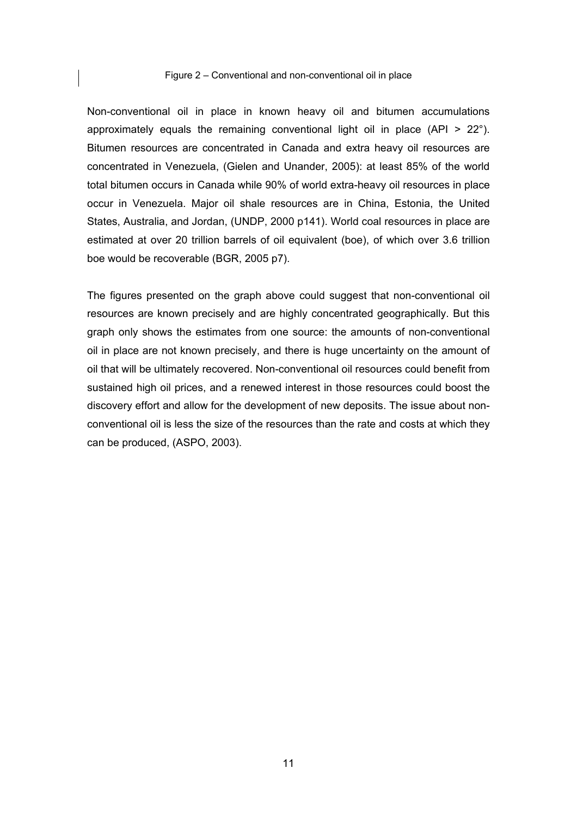#### Figure 2 – Conventional and non-conventional oil in place

Non-conventional oil in place in known heavy oil and bitumen accumulations approximately equals the remaining conventional light oil in place (API > 22°). Bitumen resources are concentrated in Canada and extra heavy oil resources are concentrated in Venezuela, (Gielen and Unander, 2005): at least 85% of the world total bitumen occurs in Canada while 90% of world extra-heavy oil resources in place occur in Venezuela. Major oil shale resources are in China, Estonia, the United States, Australia, and Jordan, (UNDP, 2000 p141). World coal resources in place are estimated at over 20 trillion barrels of oil equivalent (boe), of which over 3.6 trillion boe would be recoverable (BGR, 2005 p7).

The figures presented on the graph above could suggest that non-conventional oil resources are known precisely and are highly concentrated geographically. But this graph only shows the estimates from one source: the amounts of non-conventional oil in place are not known precisely, and there is huge uncertainty on the amount of oil that will be ultimately recovered. Non-conventional oil resources could benefit from sustained high oil prices, and a renewed interest in those resources could boost the discovery effort and allow for the development of new deposits. The issue about nonconventional oil is less the size of the resources than the rate and costs at which they can be produced, (ASPO, 2003).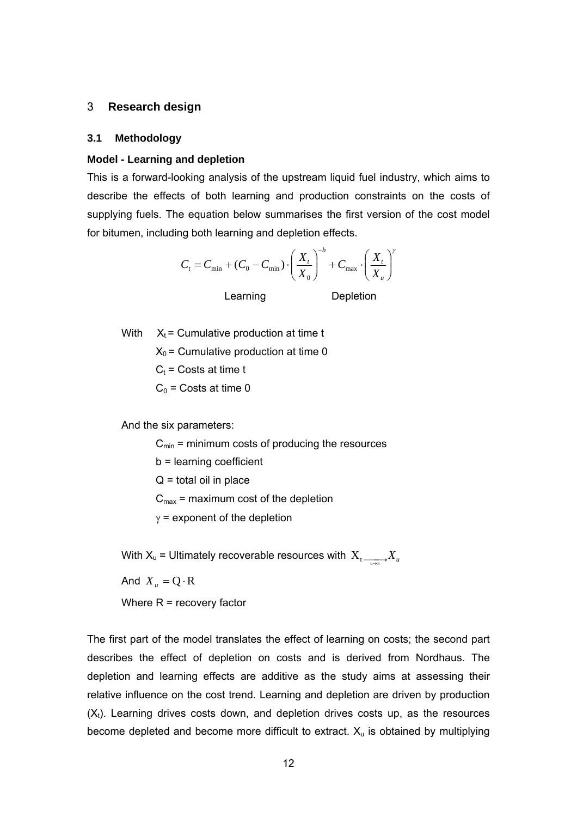#### 3 **Research design**

#### **3.1 Methodology**

#### **Model - Learning and depletion**

This is a forward-looking analysis of the upstream liquid fuel industry, which aims to describe the effects of both learning and production constraints on the costs of supplying fuels. The equation below summarises the first version of the cost model for bitumen, including both learning and depletion effects.

$$
C_t = C_{\min} + (C_0 - C_{\min}) \cdot \left(\frac{X_t}{X_0}\right)^{-b} + C_{\max} \cdot \left(\frac{X_t}{X_u}\right)^{b}
$$

Learning Depletion

With  $X_t =$  Cumulative production at time t

 $X_0$  = Cumulative production at time 0

 $C_t$  = Costs at time t

 $C_0$  = Costs at time 0

And the six parameters:

 $C<sub>min</sub>$  = minimum costs of producing the resources

b = learning coefficient

 $Q =$  total oil in place

 $C_{\text{max}}$  = maximum cost of the depletion

 $y =$  exponent of the depletion

With X<sub>u</sub> = Ultimately recoverable resources with  $\mathbf{X_t} \xrightarrow[\longrightarrow]{ } X_u$ 

And  $X_u = Q \cdot R$ 

Where  $R =$  recovery factor

The first part of the model translates the effect of learning on costs; the second part describes the effect of depletion on costs and is derived from Nordhaus. The depletion and learning effects are additive as the study aims at assessing their relative influence on the cost trend. Learning and depletion are driven by production  $(X_t)$ . Learning drives costs down, and depletion drives costs up, as the resources become depleted and become more difficult to extract.  $X<sub>u</sub>$  is obtained by multiplying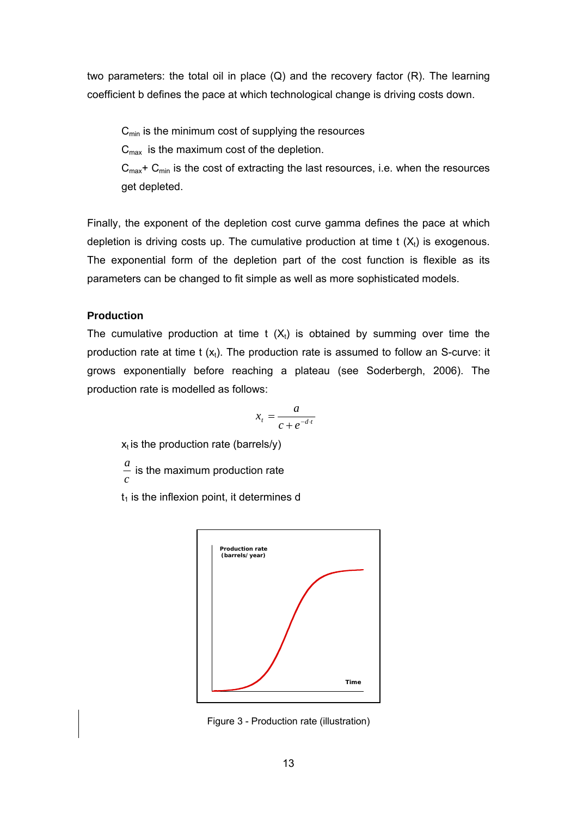two parameters: the total oil in place  $(Q)$  and the recovery factor  $(R)$ . The learning coefficient b defines the pace at which technological change is driving costs down.

 $C_{\text{min}}$  is the minimum cost of supplying the resources

 $C_{\text{max}}$  is the maximum cost of the depletion.

 $C_{\text{max}}$ +  $C_{\text{min}}$  is the cost of extracting the last resources, i.e. when the resources get depleted.

Finally, the exponent of the depletion cost curve gamma defines the pace at which depletion is driving costs up. The cumulative production at time  $t(X_t)$  is exogenous. The exponential form of the depletion part of the cost function is flexible as its parameters can be changed to fit simple as well as more sophisticated models.

# **Production**

The cumulative production at time t  $(X_t)$  is obtained by summing over time the production rate at time t  $(x_t)$ . The production rate is assumed to follow an S-curve: it grows exponentially before reaching a plateau (see Soderbergh, 2006). The production rate is modelled as follows:

$$
x_t = \frac{a}{c + e^{-d \cdot t}}
$$

 $x_t$  is the production rate (barrels/y)

*a c* is the maximum production rate

 $t_1$  is the inflexion point, it determines d



Figure 3 - Production rate (illustration)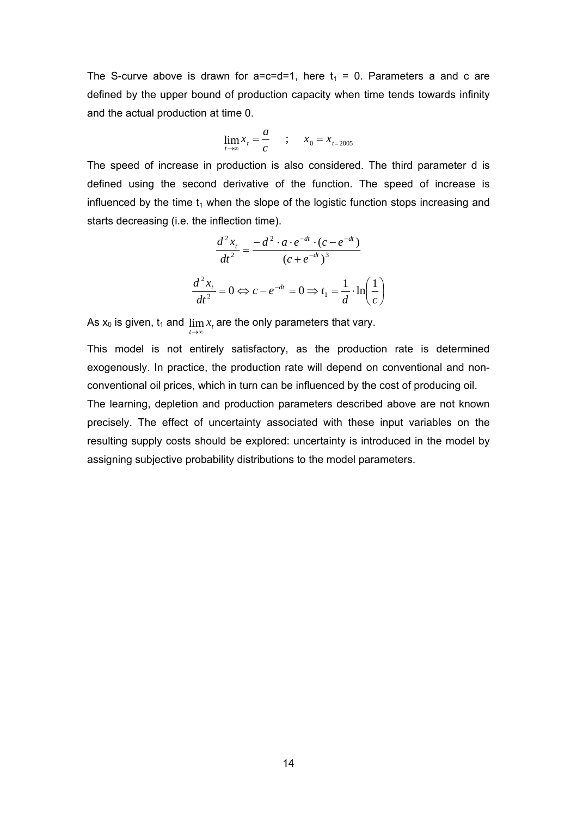The S-curve above is drawn for a=c=d=1, here  $t_1 = 0$ . Parameters a and c are defined by the upper bound of production capacity when time tends towards infinity and the actual production at time 0.

$$
\lim_{t \to \infty} x_t = \frac{a}{c} \qquad ; \qquad x_0 = x_{t=2005}
$$

The speed of increase in production is also considered. The third parameter d is defined using the second derivative of the function. The speed of increase is influenced by the time  $t_1$  when the slope of the logistic function stops increasing and starts decreasing (i.e. the inflection time).

$$
\frac{d^2x_t}{dt^2} = \frac{-d^2 \cdot a \cdot e^{-dt} \cdot (c - e^{-dt})}{(c + e^{-dt})^3}
$$

$$
\frac{d^2x_t}{dt^2} = 0 \Leftrightarrow c - e^{-dt} = 0 \Rightarrow t_1 = \frac{1}{d} \cdot \ln\left(\frac{1}{c}\right)
$$

 $\sqrt{2}$ ⎠

As  $x_0$  is given,  $t_1$  and  $\lim_{t\to\infty}x_t$  are the only parameters that vary.

This model is not entirely satisfactory, as the production rate is determined exogenously. In practice, the production rate will depend on conventional and nonconventional oil prices, which in turn can be influenced by the cost of producing oil.

The learning, depletion and production parameters described above are not known precisely. The effect of uncertainty associated with these input variables on the resulting supply costs should be explored: uncertainty is introduced in the model by assigning subjective probability distributions to the model parameters.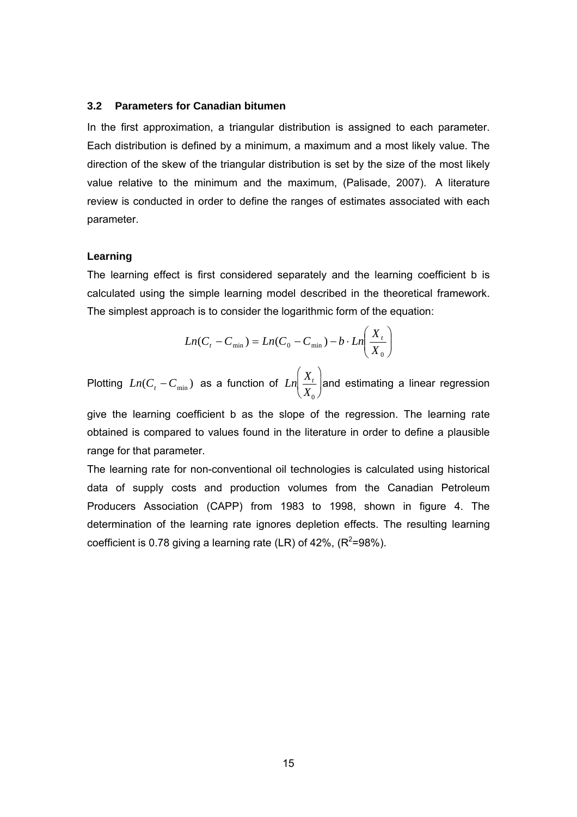#### **3.2 Parameters for Canadian bitumen**

In the first approximation, a triangular distribution is assigned to each parameter. Each distribution is defined by a minimum, a maximum and a most likely value. The direction of the skew of the triangular distribution is set by the size of the most likely value relative to the minimum and the maximum, (Palisade, 2007). A literature review is conducted in order to define the ranges of estimates associated with each parameter.

# **Learning**

The learning effect is first considered separately and the learning coefficient b is calculated using the simple learning model described in the theoretical framework. The simplest approach is to consider the logarithmic form of the equation:

$$
Ln(Ct - Cmin) = Ln(C0 - Cmin) - b \cdot Ln\left(\frac{Xt}{X0}\right)
$$

Plotting  $Ln(C_t - C_{min})$  as a function of  $Ln\left(\frac{X_t}{X_t}\right)$  $X^{\dagger}_{0}$  $\left(\frac{X_t}{X_0}\right)$ and estimating a linear regression

give the learning coefficient b as the slope of the regression. The learning rate obtained is compared to values found in the literature in order to define a plausible range for that parameter.

The learning rate for non-conventional oil technologies is calculated using historical data of supply costs and production volumes from the Canadian Petroleum Producers Association (CAPP) from 1983 to 1998, shown in figure 4. The determination of the learning rate ignores depletion effects. The resulting learning coefficient is 0.78 giving a learning rate (LR) of 42%,  $(R^2=98\%)$ .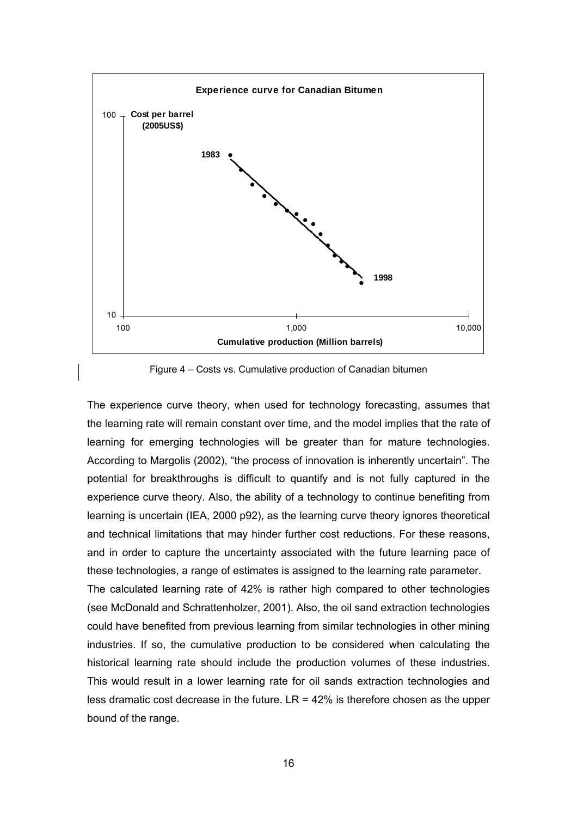

Figure 4 – Costs vs. Cumulative production of Canadian bitumen

The experience curve theory, when used for technology forecasting, assumes that the learning rate will remain constant over time, and the model implies that the rate of learning for emerging technologies will be greater than for mature technologies. According to Margolis (2002), "the process of innovation is inherently uncertain". The potential for breakthroughs is difficult to quantify and is not fully captured in the experience curve theory. Also, the ability of a technology to continue benefiting from learning is uncertain (IEA, 2000 p92), as the learning curve theory ignores theoretical and technical limitations that may hinder further cost reductions. For these reasons, and in order to capture the uncertainty associated with the future learning pace of these technologies, a range of estimates is assigned to the learning rate parameter. The calculated learning rate of 42% is rather high compared to other technologies (see McDonald and Schrattenholzer, 2001). Also, the oil sand extraction technologies could have benefited from previous learning from similar technologies in other mining industries. If so, the cumulative production to be considered when calculating the historical learning rate should include the production volumes of these industries. This would result in a lower learning rate for oil sands extraction technologies and less dramatic cost decrease in the future.  $LR = 42\%$  is therefore chosen as the upper bound of the range.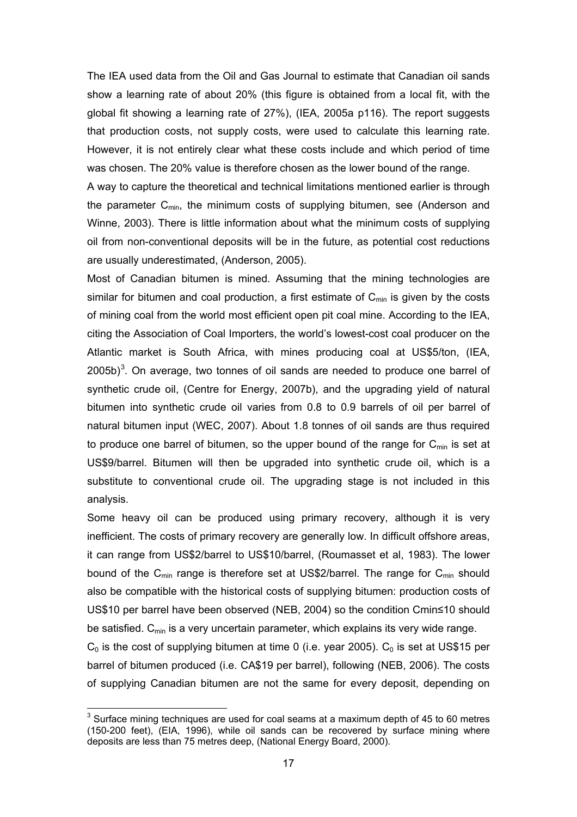The IEA used data from the Oil and Gas Journal to estimate that Canadian oil sands show a learning rate of about 20% (this figure is obtained from a local fit, with the global fit showing a learning rate of 27%), (IEA, 2005a p116). The report suggests that production costs, not supply costs, were used to calculate this learning rate. However, it is not entirely clear what these costs include and which period of time was chosen. The 20% value is therefore chosen as the lower bound of the range.

A way to capture the theoretical and technical limitations mentioned earlier is through the parameter  $C_{min}$ , the minimum costs of supplying bitumen, see (Anderson and Winne, 2003). There is little information about what the minimum costs of supplying oil from non-conventional deposits will be in the future, as potential cost reductions are usually underestimated, (Anderson, 2005).

Most of Canadian bitumen is mined. Assuming that the mining technologies are similar for bitumen and coal production, a first estimate of  $C_{min}$  is given by the costs of mining coal from the world most efficient open pit coal mine. According to the IEA, citing the Association of Coal Importers, the world's lowest-cost coal producer on the Atlantic market is South Africa, with mines producing coal at US\$5/ton, (IEA,  $2005b$ <sup>[3](#page-16-0)</sup>. On average, two tonnes of oil sands are needed to produce one barrel of synthetic crude oil, (Centre for Energy, 2007b), and the upgrading yield of natural bitumen into synthetic crude oil varies from 0.8 to 0.9 barrels of oil per barrel of natural bitumen input (WEC, 2007). About 1.8 tonnes of oil sands are thus required to produce one barrel of bitumen, so the upper bound of the range for  $C_{\text{min}}$  is set at US\$9/barrel. Bitumen will then be upgraded into synthetic crude oil, which is a substitute to conventional crude oil. The upgrading stage is not included in this analysis.

Some heavy oil can be produced using primary recovery, although it is very inefficient. The costs of primary recovery are generally low. In difficult offshore areas, it can range from US\$2/barrel to US\$10/barrel, (Roumasset et al, 1983). The lower bound of the  $C_{min}$  range is therefore set at US\$2/barrel. The range for  $C_{min}$  should also be compatible with the historical costs of supplying bitumen: production costs of US\$10 per barrel have been observed (NEB, 2004) so the condition Cmin≤10 should be satisfied. C<sub>min</sub> is a very uncertain parameter, which explains its very wide range.

 $C_0$  is the cost of supplying bitumen at time 0 (i.e. year 2005).  $C_0$  is set at US\$15 per barrel of bitumen produced (i.e. CA\$19 per barrel), following (NEB, 2006). The costs of supplying Canadian bitumen are not the same for every deposit, depending on

l

<span id="page-16-0"></span> $3$  Surface mining techniques are used for coal seams at a maximum depth of 45 to 60 metres (150-200 feet), (EIA, 1996), while oil sands can be recovered by surface mining where deposits are less than 75 metres deep, (National Energy Board, 2000).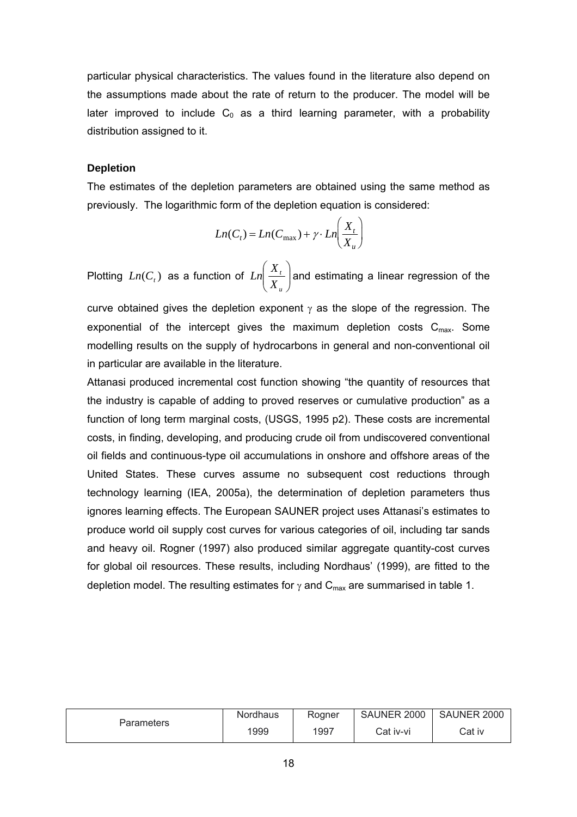particular physical characteristics. The values found in the literature also depend on the assumptions made about the rate of return to the producer. The model will be later improved to include  $C_0$  as a third learning parameter, with a probability distribution assigned to it.

# **Depletion**

The estimates of the depletion parameters are obtained using the same method as previously. The logarithmic form of the depletion equation is considered:

$$
Ln(C_t) = Ln(C_{\text{max}}) + \gamma \cdot Ln\left(\frac{X_t}{X_u}\right)
$$

Plotting  $Ln(C_{t})$  as a function of  $Ln\left(\frac{R_{t}}{Y}\right)$ ⎠ ⎞  $\overline{\phantom{a}}$ ⎝  $\big($ *u t X*  $Ln\left(\frac{X_{t}}{X_{t}}\right)$  and estimating a linear regression of the

curve obtained gives the depletion exponent  $\gamma$  as the slope of the regression. The exponential of the intercept gives the maximum depletion costs  $C_{\text{max}}$ . Some modelling results on the supply of hydrocarbons in general and non-conventional oil in particular are available in the literature.

Attanasi produced incremental cost function showing "the quantity of resources that the industry is capable of adding to proved reserves or cumulative production" as a function of long term marginal costs, (USGS, 1995 p2). These costs are incremental costs, in finding, developing, and producing crude oil from undiscovered conventional oil fields and continuous-type oil accumulations in onshore and offshore areas of the United States. These curves assume no subsequent cost reductions through technology learning (IEA, 2005a), the determination of depletion parameters thus ignores learning effects. The European SAUNER project uses Attanasi's estimates to produce world oil supply cost curves for various categories of oil, including tar sands and heavy oil. Rogner (1997) also produced similar aggregate quantity-cost curves for global oil resources. These results, including Nordhaus' (1999), are fitted to the depletion model. The resulting estimates for  $\gamma$  and  $C_{\text{max}}$  are summarised in table 1.

|            | Nordhaus | Roaner | SAUNER 2000 | SAUNER 2000 |
|------------|----------|--------|-------------|-------------|
| Parameters | 1999     | 1997   | Cat iv-vi   | Cat iv      |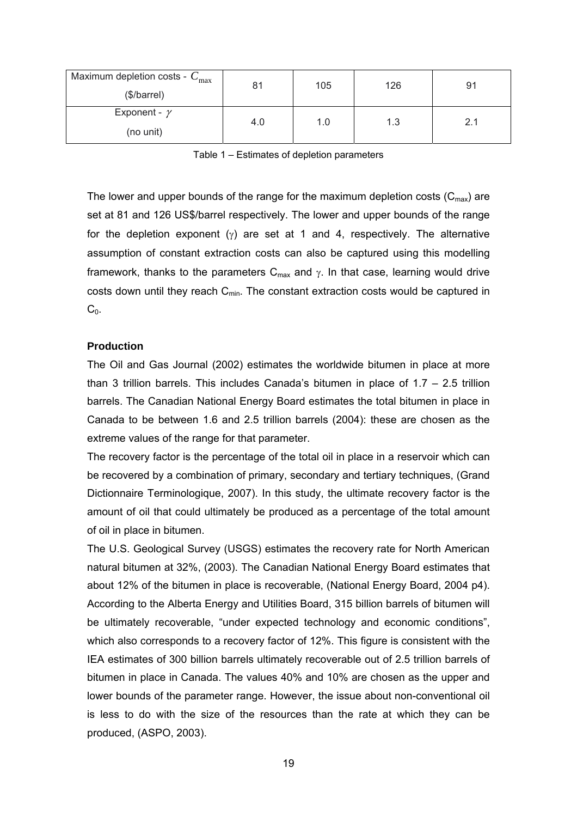| Maximum depletion costs - $C_{\text{max}}$ | 81  | 105 | 126 | 91  |  |
|--------------------------------------------|-----|-----|-----|-----|--|
| (\$/barrel)                                |     |     |     |     |  |
| Exponent - $\gamma$                        | 4.0 | 1.0 | 1.3 | 2.1 |  |
| (no unit)                                  |     |     |     |     |  |

Table 1 – Estimates of depletion parameters

The lower and upper bounds of the range for the maximum depletion costs  $(C_{\text{max}})$  are set at 81 and 126 US\$/barrel respectively. The lower and upper bounds of the range for the depletion exponent ( $\gamma$ ) are set at 1 and 4, respectively. The alternative assumption of constant extraction costs can also be captured using this modelling framework, thanks to the parameters  $C_{\text{max}}$  and  $\gamma$ . In that case, learning would drive costs down until they reach  $C_{min}$ . The constant extraction costs would be captured in  $C<sub>0</sub>$ .

#### **Production**

The Oil and Gas Journal (2002) estimates the worldwide bitumen in place at more than 3 trillion barrels. This includes Canada's bitumen in place of 1.7 – 2.5 trillion barrels. The Canadian National Energy Board estimates the total bitumen in place in Canada to be between 1.6 and 2.5 trillion barrels (2004): these are chosen as the extreme values of the range for that parameter.

The recovery factor is the percentage of the total oil in place in a reservoir which can be recovered by a combination of primary, secondary and tertiary techniques, (Grand Dictionnaire Terminologique, 2007). In this study, the ultimate recovery factor is the amount of oil that could ultimately be produced as a percentage of the total amount of oil in place in bitumen.

The U.S. Geological Survey (USGS) estimates the recovery rate for North American natural bitumen at 32%, (2003). The Canadian National Energy Board estimates that about 12% of the bitumen in place is recoverable, (National Energy Board, 2004 p4). According to the Alberta Energy and Utilities Board, 315 billion barrels of bitumen will be ultimately recoverable, "under expected technology and economic conditions", which also corresponds to a recovery factor of 12%. This figure is consistent with the IEA estimates of 300 billion barrels ultimately recoverable out of 2.5 trillion barrels of bitumen in place in Canada. The values 40% and 10% are chosen as the upper and lower bounds of the parameter range. However, the issue about non-conventional oil is less to do with the size of the resources than the rate at which they can be produced, (ASPO, 2003).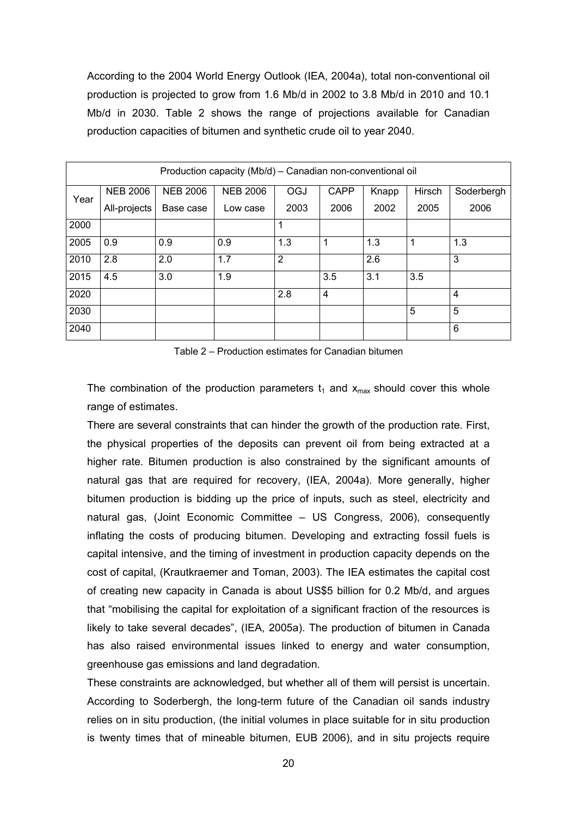According to the 2004 World Energy Outlook (IEA, 2004a), total non-conventional oil production is projected to grow from 1.6 Mb/d in 2002 to 3.8 Mb/d in 2010 and 10.1 Mb/d in 2030. Table 2 shows the range of projections available for Canadian production capacities of bitumen and synthetic crude oil to year 2040.

| Production capacity (Mb/d) - Canadian non-conventional oil |                 |                 |                 |                |                |       |        |            |
|------------------------------------------------------------|-----------------|-----------------|-----------------|----------------|----------------|-------|--------|------------|
| Year                                                       | <b>NEB 2006</b> | <b>NEB 2006</b> | <b>NEB 2006</b> | OGJ            | <b>CAPP</b>    | Knapp | Hirsch | Soderbergh |
|                                                            | All-projects    | Base case       | Low case        | 2003           | 2006           | 2002  | 2005   | 2006       |
| 2000                                                       |                 |                 |                 | 1              |                |       |        |            |
| 2005                                                       | 0.9             | 0.9             | 0.9             | 1.3            | 1              | 1.3   | 1      | 1.3        |
| 2010                                                       | 2.8             | 2.0             | 1.7             | $\overline{2}$ |                | 2.6   |        | 3          |
| 2015                                                       | 4.5             | 3.0             | 1.9             |                | 3.5            | 3.1   | 3.5    |            |
| 2020                                                       |                 |                 |                 | 2.8            | $\overline{4}$ |       |        | 4          |
| 2030                                                       |                 |                 |                 |                |                |       | 5      | 5          |
| 2040                                                       |                 |                 |                 |                |                |       |        | 6          |

Table 2 – Production estimates for Canadian bitumen

The combination of the production parameters  $t_1$  and  $x_{max}$  should cover this whole range of estimates.

There are several constraints that can hinder the growth of the production rate. First, the physical properties of the deposits can prevent oil from being extracted at a higher rate. Bitumen production is also constrained by the significant amounts of natural gas that are required for recovery, (IEA, 2004a). More generally, higher bitumen production is bidding up the price of inputs, such as steel, electricity and natural gas, (Joint Economic Committee – US Congress, 2006), consequently inflating the costs of producing bitumen. Developing and extracting fossil fuels is capital intensive, and the timing of investment in production capacity depends on the cost of capital, (Krautkraemer and Toman, 2003). The IEA estimates the capital cost of creating new capacity in Canada is about US\$5 billion for 0.2 Mb/d, and argues that "mobilising the capital for exploitation of a significant fraction of the resources is likely to take several decades", (IEA, 2005a). The production of bitumen in Canada has also raised environmental issues linked to energy and water consumption, greenhouse gas emissions and land degradation.

These constraints are acknowledged, but whether all of them will persist is uncertain. According to Soderbergh, the long-term future of the Canadian oil sands industry relies on in situ production, (the initial volumes in place suitable for in situ production is twenty times that of mineable bitumen, EUB 2006), and in situ projects require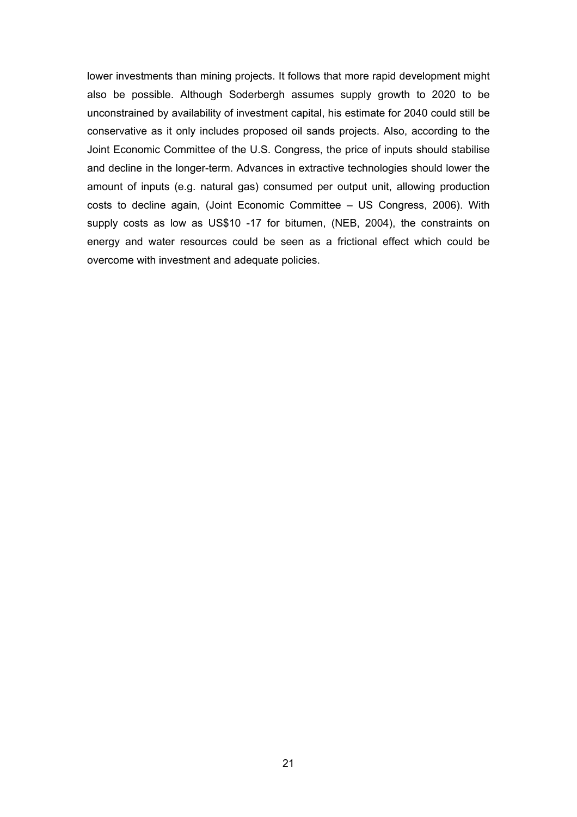lower investments than mining projects. It follows that more rapid development might also be possible. Although Soderbergh assumes supply growth to 2020 to be unconstrained by availability of investment capital, his estimate for 2040 could still be conservative as it only includes proposed oil sands projects. Also, according to the Joint Economic Committee of the U.S. Congress, the price of inputs should stabilise and decline in the longer-term. Advances in extractive technologies should lower the amount of inputs (e.g. natural gas) consumed per output unit, allowing production costs to decline again, (Joint Economic Committee – US Congress, 2006). With supply costs as low as US\$10 -17 for bitumen, (NEB, 2004), the constraints on energy and water resources could be seen as a frictional effect which could be overcome with investment and adequate policies.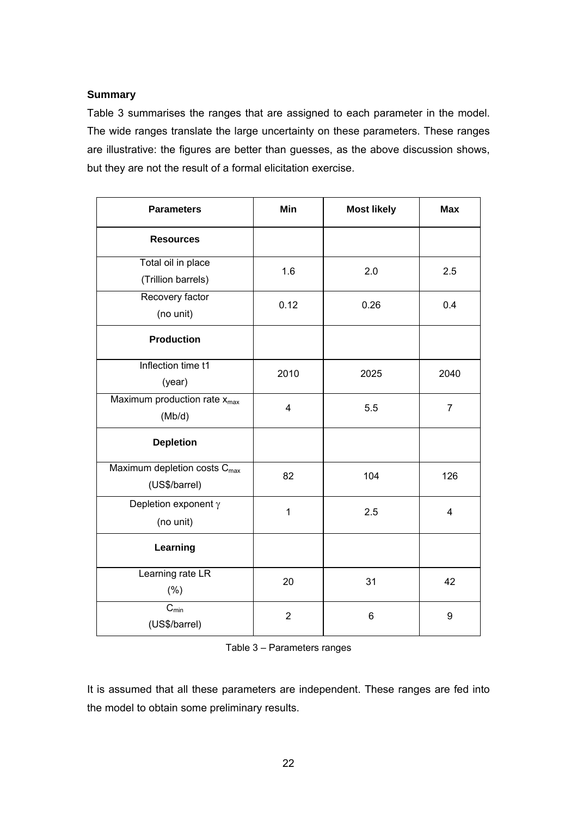# **Summary**

Table 3 summarises the ranges that are assigned to each parameter in the model. The wide ranges translate the large uncertainty on these parameters. These ranges are illustrative: the figures are better than guesses, as the above discussion shows, but they are not the result of a formal elicitation exercise.

| <b>Parameters</b>                                         | Min            | <b>Most likely</b> | <b>Max</b>              |
|-----------------------------------------------------------|----------------|--------------------|-------------------------|
| <b>Resources</b>                                          |                |                    |                         |
| Total oil in place<br>(Trillion barrels)                  | 1.6            | 2.0                | 2.5                     |
| Recovery factor<br>(no unit)                              | 0.12           | 0.26               | 0.4                     |
| <b>Production</b>                                         |                |                    |                         |
| Inflection time t1<br>(year)                              | 2010           | 2025               | 2040                    |
| Maximum production rate $x_{max}$<br>(Mb/d)               | 4              | 5.5                | $\overline{7}$          |
| <b>Depletion</b>                                          |                |                    |                         |
| Maximum depletion costs C <sub>max</sub><br>(US\$/barrel) | 82             | 104                | 126                     |
| Depletion exponent $\gamma$<br>(no unit)                  | $\mathbf 1$    | 2.5                | $\overline{\mathbf{4}}$ |
| Learning                                                  |                |                    |                         |
| Learning rate LR<br>(% )                                  | 20             | 31                 | 42                      |
| $C_{min}$<br>(US\$/barrel)                                | $\overline{2}$ | 6                  | 9                       |

Table 3 – Parameters ranges

It is assumed that all these parameters are independent. These ranges are fed into the model to obtain some preliminary results.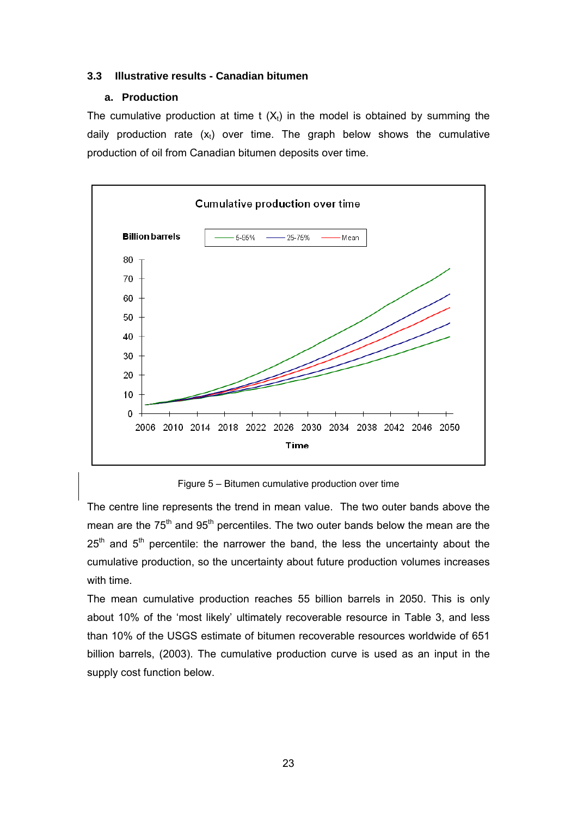# **3.3 Illustrative results - Canadian bitumen**

# **a. Production**

The cumulative production at time t  $(X_t)$  in the model is obtained by summing the daily production rate  $(x_t)$  over time. The graph below shows the cumulative production of oil from Canadian bitumen deposits over time.



Figure 5 – Bitumen cumulative production over time

The centre line represents the trend in mean value. The two outer bands above the mean are the 75<sup>th</sup> and 95<sup>th</sup> percentiles. The two outer bands below the mean are the  $25<sup>th</sup>$  and  $5<sup>th</sup>$  percentile: the narrower the band, the less the uncertainty about the cumulative production, so the uncertainty about future production volumes increases with time.

The mean cumulative production reaches 55 billion barrels in 2050. This is only about 10% of the 'most likely' ultimately recoverable resource in Table 3, and less than 10% of the USGS estimate of bitumen recoverable resources worldwide of 651 billion barrels, (2003). The cumulative production curve is used as an input in the supply cost function below.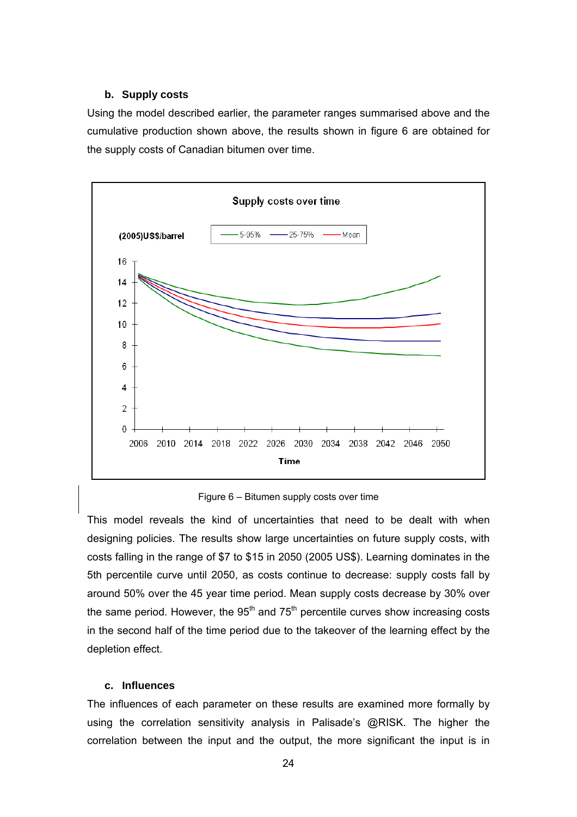# **b. Supply costs**

Using the model described earlier, the parameter ranges summarised above and the cumulative production shown above, the results shown in figure 6 are obtained for the supply costs of Canadian bitumen over time.



Figure 6 – Bitumen supply costs over time

This model reveals the kind of uncertainties that need to be dealt with when designing policies. The results show large uncertainties on future supply costs, with costs falling in the range of \$7 to \$15 in 2050 (2005 US\$). Learning dominates in the 5th percentile curve until 2050, as costs continue to decrease: supply costs fall by around 50% over the 45 year time period. Mean supply costs decrease by 30% over the same period. However, the  $95<sup>th</sup>$  and  $75<sup>th</sup>$  percentile curves show increasing costs in the second half of the time period due to the takeover of the learning effect by the depletion effect.

# **c. Influences**

The influences of each parameter on these results are examined more formally by using the correlation sensitivity analysis in Palisade's @RISK. The higher the correlation between the input and the output, the more significant the input is in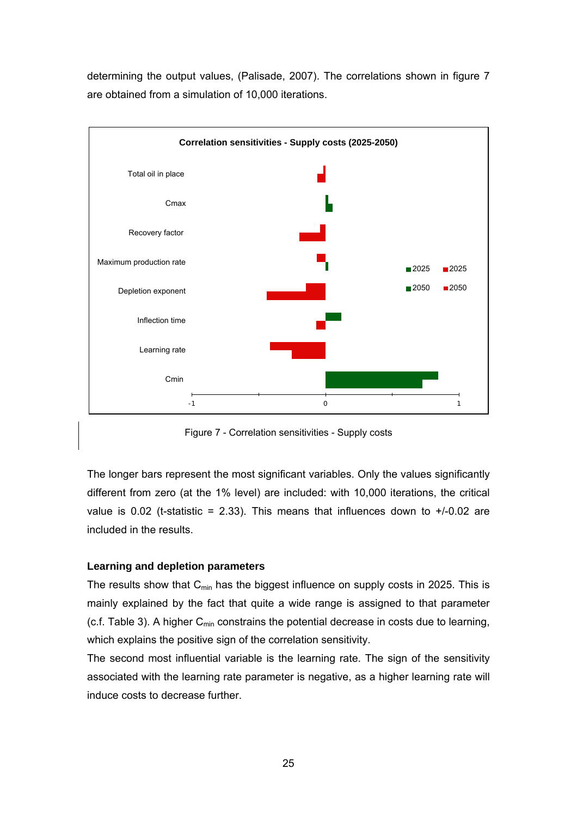determining the output values, (Palisade, 2007). The correlations shown in figure 7 are obtained from a simulation of 10,000 iterations.



Figure 7 - Correlation sensitivities - Supply costs

The longer bars represent the most significant variables. Only the values significantly different from zero (at the 1% level) are included: with 10,000 iterations, the critical value is 0.02 (t-statistic = 2.33). This means that influences down to  $+/-0.02$  are included in the results.

#### **Learning and depletion parameters**

The results show that  $C_{min}$  has the biggest influence on supply costs in 2025. This is mainly explained by the fact that quite a wide range is assigned to that parameter (c.f. Table 3). A higher  $C_{\text{min}}$  constrains the potential decrease in costs due to learning, which explains the positive sign of the correlation sensitivity.

The second most influential variable is the learning rate. The sign of the sensitivity associated with the learning rate parameter is negative, as a higher learning rate will induce costs to decrease further.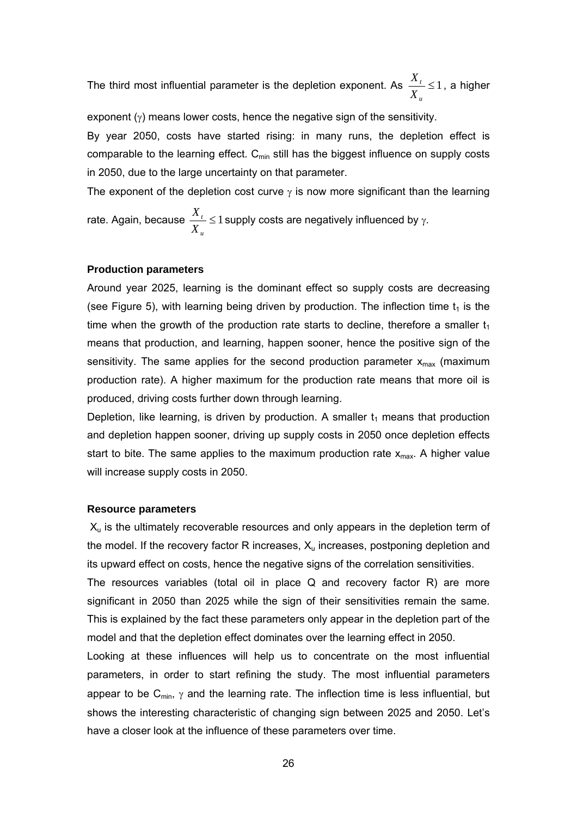The third most influential parameter is the depletion exponent. As  $\frac{A_t}{A} \leq 1$ *u X*  $\frac{X_t}{X} \leq 1$ , a higher

exponent  $(y)$  means lower costs, hence the negative sign of the sensitivity.

By year 2050, costs have started rising: in many runs, the depletion effect is comparable to the learning effect.  $C_{min}$  still has the biggest influence on supply costs in 2050, due to the large uncertainty on that parameter.

The exponent of the depletion cost curve  $\gamma$  is now more significant than the learning rate. Again, because  $\frac{A_i}{A_i} \leq 1$ *t X*  $\frac{X_i}{X}$  ≤ 1 supply costs are negatively influenced by γ.

# **Production parameters**

*u*

Around year 2025, learning is the dominant effect so supply costs are decreasing (see Figure 5), with learning being driven by production. The inflection time  $t_1$  is the time when the growth of the production rate starts to decline, therefore a smaller  $t_1$ means that production, and learning, happen sooner, hence the positive sign of the sensitivity. The same applies for the second production parameter  $x_{max}$  (maximum production rate). A higher maximum for the production rate means that more oil is produced, driving costs further down through learning.

Depletion, like learning, is driven by production. A smaller  $t_1$  means that production and depletion happen sooner, driving up supply costs in 2050 once depletion effects start to bite. The same applies to the maximum production rate  $x_{max}$ . A higher value will increase supply costs in 2050.

#### **Resource parameters**

 $X<sub>u</sub>$  is the ultimately recoverable resources and only appears in the depletion term of the model. If the recovery factor R increases,  $X<sub>u</sub>$  increases, postponing depletion and its upward effect on costs, hence the negative signs of the correlation sensitivities.

The resources variables (total oil in place Q and recovery factor R) are more significant in 2050 than 2025 while the sign of their sensitivities remain the same. This is explained by the fact these parameters only appear in the depletion part of the model and that the depletion effect dominates over the learning effect in 2050.

Looking at these influences will help us to concentrate on the most influential parameters, in order to start refining the study. The most influential parameters appear to be  $C_{min}$ ,  $\gamma$  and the learning rate. The inflection time is less influential, but shows the interesting characteristic of changing sign between 2025 and 2050. Let's have a closer look at the influence of these parameters over time.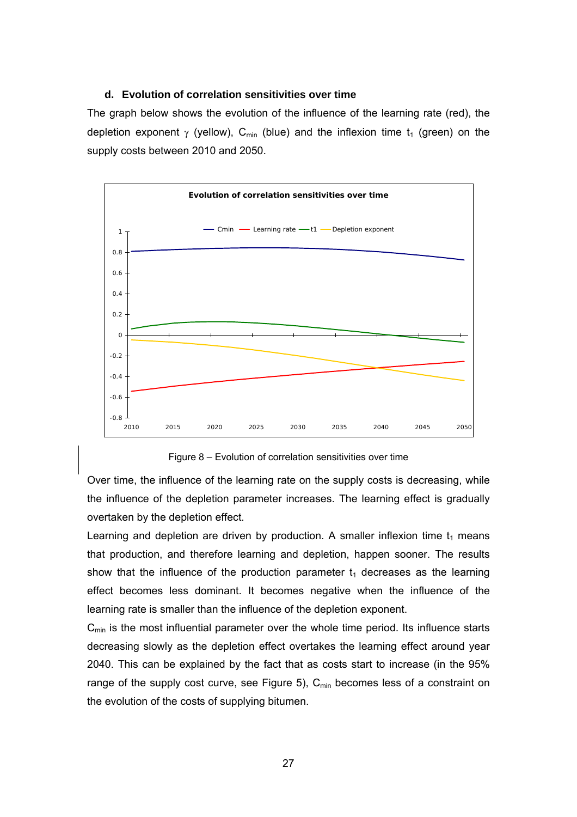#### **d. Evolution of correlation sensitivities over time**

The graph below shows the evolution of the influence of the learning rate (red), the depletion exponent  $\gamma$  (yellow), C<sub>min</sub> (blue) and the inflexion time t<sub>1</sub> (green) on the supply costs between 2010 and 2050.



Figure 8 – Evolution of correlation sensitivities over time

Over time, the influence of the learning rate on the supply costs is decreasing, while the influence of the depletion parameter increases. The learning effect is gradually overtaken by the depletion effect.

Learning and depletion are driven by production. A smaller inflexion time  $t_1$  means that production, and therefore learning and depletion, happen sooner. The results show that the influence of the production parameter  $t_1$  decreases as the learning effect becomes less dominant. It becomes negative when the influence of the learning rate is smaller than the influence of the depletion exponent.

 $C<sub>min</sub>$  is the most influential parameter over the whole time period. Its influence starts decreasing slowly as the depletion effect overtakes the learning effect around year 2040. This can be explained by the fact that as costs start to increase (in the 95% range of the supply cost curve, see Figure 5),  $C_{min}$  becomes less of a constraint on the evolution of the costs of supplying bitumen.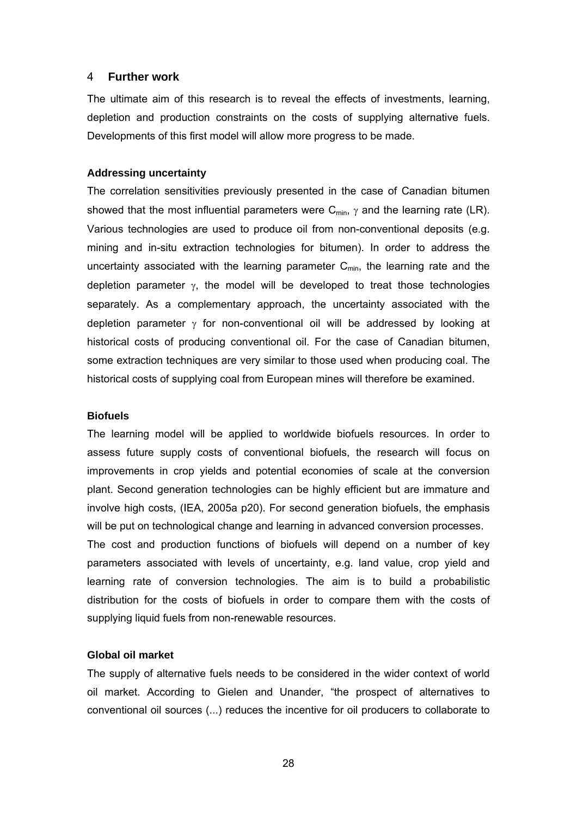#### 4 **Further work**

The ultimate aim of this research is to reveal the effects of investments, learning, depletion and production constraints on the costs of supplying alternative fuels. Developments of this first model will allow more progress to be made.

#### **Addressing uncertainty**

The correlation sensitivities previously presented in the case of Canadian bitumen showed that the most influential parameters were  $C_{min}$ ,  $\gamma$  and the learning rate (LR). Various technologies are used to produce oil from non-conventional deposits (e.g. mining and in-situ extraction technologies for bitumen). In order to address the uncertainty associated with the learning parameter  $C_{min}$ , the learning rate and the depletion parameter  $\gamma$ , the model will be developed to treat those technologies separately. As a complementary approach, the uncertainty associated with the depletion parameter  $\gamma$  for non-conventional oil will be addressed by looking at historical costs of producing conventional oil. For the case of Canadian bitumen, some extraction techniques are very similar to those used when producing coal. The historical costs of supplying coal from European mines will therefore be examined.

#### **Biofuels**

The learning model will be applied to worldwide biofuels resources. In order to assess future supply costs of conventional biofuels, the research will focus on improvements in crop yields and potential economies of scale at the conversion plant. Second generation technologies can be highly efficient but are immature and involve high costs, (IEA, 2005a p20). For second generation biofuels, the emphasis will be put on technological change and learning in advanced conversion processes. The cost and production functions of biofuels will depend on a number of key parameters associated with levels of uncertainty, e.g. land value, crop yield and learning rate of conversion technologies. The aim is to build a probabilistic distribution for the costs of biofuels in order to compare them with the costs of supplying liquid fuels from non-renewable resources.

# **Global oil market**

The supply of alternative fuels needs to be considered in the wider context of world oil market. According to Gielen and Unander, "the prospect of alternatives to conventional oil sources (...) reduces the incentive for oil producers to collaborate to

28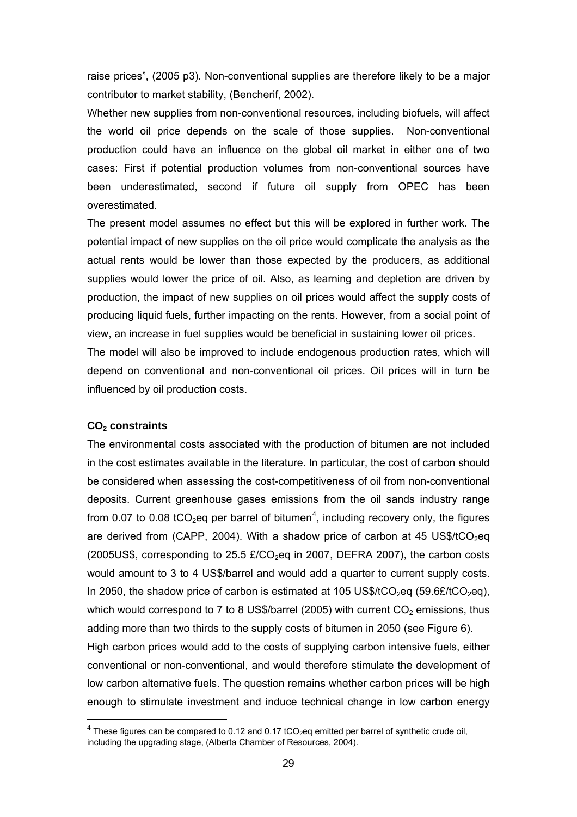raise prices", (2005 p3). Non-conventional supplies are therefore likely to be a major contributor to market stability, (Bencherif, 2002).

Whether new supplies from non-conventional resources, including biofuels, will affect the world oil price depends on the scale of those supplies. Non-conventional production could have an influence on the global oil market in either one of two cases: First if potential production volumes from non-conventional sources have been underestimated, second if future oil supply from OPEC has been overestimated.

The present model assumes no effect but this will be explored in further work. The potential impact of new supplies on the oil price would complicate the analysis as the actual rents would be lower than those expected by the producers, as additional supplies would lower the price of oil. Also, as learning and depletion are driven by production, the impact of new supplies on oil prices would affect the supply costs of producing liquid fuels, further impacting on the rents. However, from a social point of view, an increase in fuel supplies would be beneficial in sustaining lower oil prices. The model will also be improved to include endogenous production rates, which will

depend on conventional and non-conventional oil prices. Oil prices will in turn be influenced by oil production costs.

# **CO2 constraints**

l

The environmental costs associated with the production of bitumen are not included in the cost estimates available in the literature. In particular, the cost of carbon should be considered when assessing the cost-competitiveness of oil from non-conventional deposits. Current greenhouse gases emissions from the oil sands industry range from 0.07 to 0.08 tCO<sub>2</sub>eq per barrel of bitumen<sup>[4](#page-28-0)</sup>, including recovery only, the figures are derived from (CAPP, 2004). With a shadow price of carbon at 45 US\$/tCO<sub>2</sub>eq (2005US\$, corresponding to 25.5  $E/CO<sub>2</sub>$ eg in 2007, DEFRA 2007), the carbon costs would amount to 3 to 4 US\$/barrel and would add a quarter to current supply costs. In 2050, the shadow price of carbon is estimated at 105 US\$/tCO<sub>2</sub>eq (59.6£/tCO<sub>2</sub>eq), which would correspond to 7 to 8 US\$/barrel (2005) with current  $CO<sub>2</sub>$  emissions, thus adding more than two thirds to the supply costs of bitumen in 2050 (see Figure 6). High carbon prices would add to the costs of supplying carbon intensive fuels, either conventional or non-conventional, and would therefore stimulate the development of low carbon alternative fuels. The question remains whether carbon prices will be high enough to stimulate investment and induce technical change in low carbon energy

<span id="page-28-0"></span> $^4$  These figures can be compared to 0.12 and 0.17 tCO<sub>2</sub>eq emitted per barrel of synthetic crude oil, including the upgrading stage, (Alberta Chamber of Resources, 2004).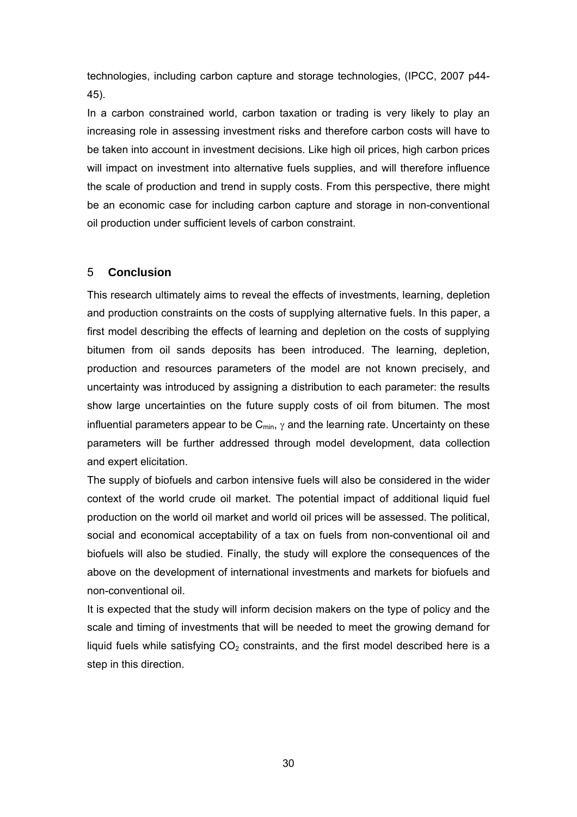technologies, including carbon capture and storage technologies, (IPCC, 2007 p44- 45).

In a carbon constrained world, carbon taxation or trading is very likely to play an increasing role in assessing investment risks and therefore carbon costs will have to be taken into account in investment decisions. Like high oil prices, high carbon prices will impact on investment into alternative fuels supplies, and will therefore influence the scale of production and trend in supply costs. From this perspective, there might be an economic case for including carbon capture and storage in non-conventional oil production under sufficient levels of carbon constraint.

# 5 **Conclusion**

This research ultimately aims to reveal the effects of investments, learning, depletion and production constraints on the costs of supplying alternative fuels. In this paper, a first model describing the effects of learning and depletion on the costs of supplying bitumen from oil sands deposits has been introduced. The learning, depletion, production and resources parameters of the model are not known precisely, and uncertainty was introduced by assigning a distribution to each parameter: the results show large uncertainties on the future supply costs of oil from bitumen. The most influential parameters appear to be  $C_{min}$ ,  $\gamma$  and the learning rate. Uncertainty on these parameters will be further addressed through model development, data collection and expert elicitation.

The supply of biofuels and carbon intensive fuels will also be considered in the wider context of the world crude oil market. The potential impact of additional liquid fuel production on the world oil market and world oil prices will be assessed. The political, social and economical acceptability of a tax on fuels from non-conventional oil and biofuels will also be studied. Finally, the study will explore the consequences of the above on the development of international investments and markets for biofuels and non-conventional oil.

It is expected that the study will inform decision makers on the type of policy and the scale and timing of investments that will be needed to meet the growing demand for liquid fuels while satisfying  $CO<sub>2</sub>$  constraints, and the first model described here is a step in this direction.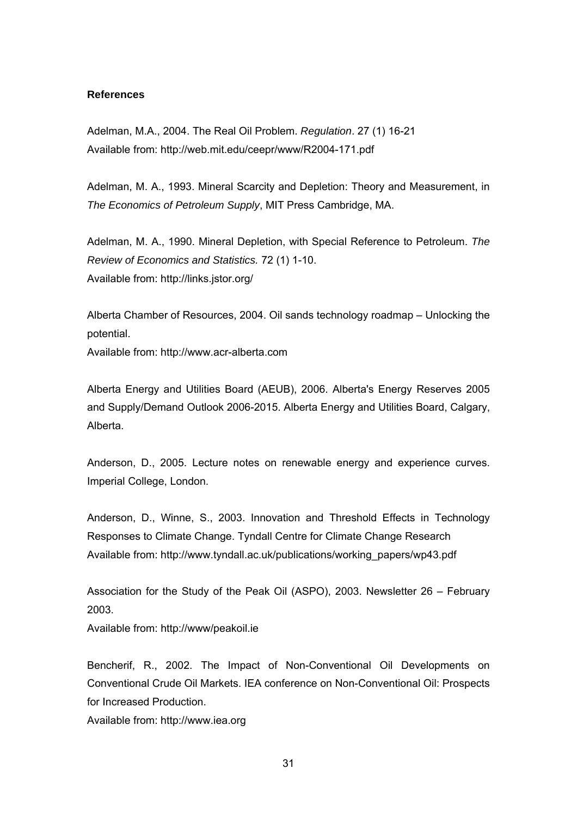#### **References**

Adelman, M.A., 2004. The Real Oil Problem. *Regulation*. 27 (1) 16-21 Available from: http://web.mit.edu/ceepr/www/R2004-171.pdf

Adelman, M. A., 1993. Mineral Scarcity and Depletion: Theory and Measurement, in *The Economics of Petroleum Supply*, MIT Press Cambridge, MA.

Adelman, M. A., 1990. Mineral Depletion, with Special Reference to Petroleum. *The Review of Economics and Statistics.* 72 (1) 1-10. Available from: http://links.jstor.org/

Alberta Chamber of Resources, 2004. Oil sands technology roadmap – Unlocking the potential.

Available from: http://www.acr-alberta.com

Alberta Energy and Utilities Board (AEUB), 2006. Alberta's Energy Reserves 2005 and Supply/Demand Outlook 2006-2015. Alberta Energy and Utilities Board, Calgary, Alberta.

Anderson, D., 2005. Lecture notes on renewable energy and experience curves. Imperial College, London.

Anderson, D., Winne, S., 2003. Innovation and Threshold Effects in Technology Responses to Climate Change. Tyndall Centre for Climate Change Research Available from: http://www.tyndall.ac.uk/publications/working\_papers/wp43.pdf

Association for the Study of the Peak Oil (ASPO), 2003. Newsletter 26 – February 2003.

Available from: http://www/peakoil.ie

Bencherif, R., 2002. The Impact of Non-Conventional Oil Developments on Conventional Crude Oil Markets. IEA conference on Non-Conventional Oil: Prospects for Increased Production.

Available from: http://www.iea.org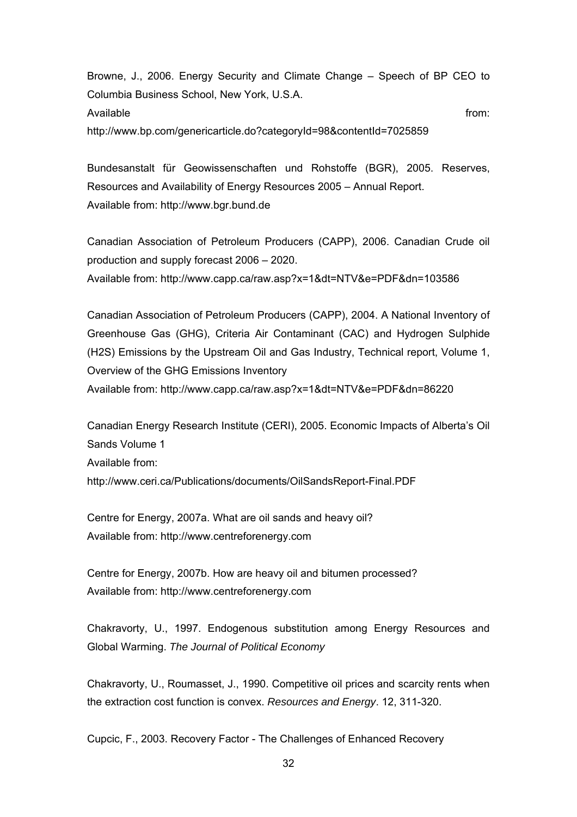Browne, J., 2006. Energy Security and Climate Change – Speech of BP CEO to Columbia Business School, New York, U.S.A. Available from: http://www.bp.com/genericarticle.do?categoryId=98&contentId=7025859

Bundesanstalt für Geowissenschaften und Rohstoffe (BGR), 2005. Reserves, Resources and Availability of Energy Resources 2005 – Annual Report. Available from: http://www.bgr.bund.de

Canadian Association of Petroleum Producers (CAPP), 2006. Canadian Crude oil production and supply forecast 2006 – 2020. Available from: http://www.capp.ca/raw.asp?x=1&dt=NTV&e=PDF&dn=103586

Canadian Association of Petroleum Producers (CAPP), 2004. A National Inventory of Greenhouse Gas (GHG), Criteria Air Contaminant (CAC) and Hydrogen Sulphide (H2S) Emissions by the Upstream Oil and Gas Industry, Technical report, Volume 1, Overview of the GHG Emissions Inventory Available from: http://www.capp.ca/raw.asp?x=1&dt=NTV&e=PDF&dn=86220

Canadian Energy Research Institute (CERI), 2005. Economic Impacts of Alberta's Oil Sands Volume 1 Available from: http://www.ceri.ca/Publications/documents/OilSandsReport-Final.PDF

Centre for Energy, 2007a. What are oil sands and heavy oil? Available from: http://www.centreforenergy.com

Centre for Energy, 2007b. How are heavy oil and bitumen processed? Available from: http://www.centreforenergy.com

Chakravorty, U., 1997. Endogenous substitution among Energy Resources and Global Warming. *The Journal of Political Economy*

Chakravorty, U., Roumasset, J., 1990. Competitive oil prices and scarcity rents when the extraction cost function is convex. *Resources and Energy*. 12, 311-320.

Cupcic, F., 2003. Recovery Factor - The Challenges of Enhanced Recovery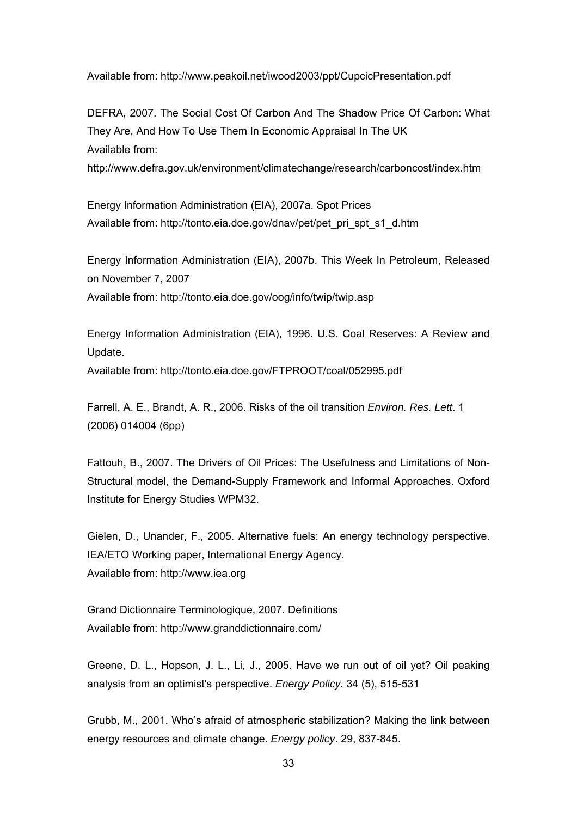Available from: http://www.peakoil.net/iwood2003/ppt/CupcicPresentation.pdf

DEFRA, 2007. The Social Cost Of Carbon And The Shadow Price Of Carbon: What They Are, And How To Use Them In Economic Appraisal In The UK Available from:

http://www.defra.gov.uk/environment/climatechange/research/carboncost/index.htm

Energy Information Administration (EIA), 2007a. Spot Prices Available from: http://tonto.eia.doe.gov/dnav/pet/pet\_pri\_spt\_s1\_d.htm

Energy Information Administration (EIA), 2007b. This Week In Petroleum, Released on November 7, 2007

Available from: http://tonto.eia.doe.gov/oog/info/twip/twip.asp

Energy Information Administration (EIA), 1996. U.S. Coal Reserves: A Review and Update.

Available from: http://tonto.eia.doe.gov/FTPROOT/coal/052995.pdf

Farrell, A. E., Brandt, A. R., 2006. Risks of the oil transition *Environ. Res. Lett*. 1 (2006) 014004 (6pp)

Fattouh, B., 2007. The Drivers of Oil Prices: The Usefulness and Limitations of Non-Structural model, the Demand-Supply Framework and Informal Approaches. Oxford Institute for Energy Studies WPM32.

Gielen, D., Unander, F., 2005. Alternative fuels: An energy technology perspective. IEA/ETO Working paper, International Energy Agency. Available from: http://www.iea.org

Grand Dictionnaire Terminologique, 2007. Definitions Available from: http://www.granddictionnaire.com/

Greene, D. L., Hopson, J. L., Li, J., 2005. Have we run out of oil yet? Oil peaking analysis from an optimist's perspective. *Energy Policy.* 34 (5), 515-531

Grubb, M., 2001. Who's afraid of atmospheric stabilization? Making the link between energy resources and climate change. *Energy policy*. 29, 837-845.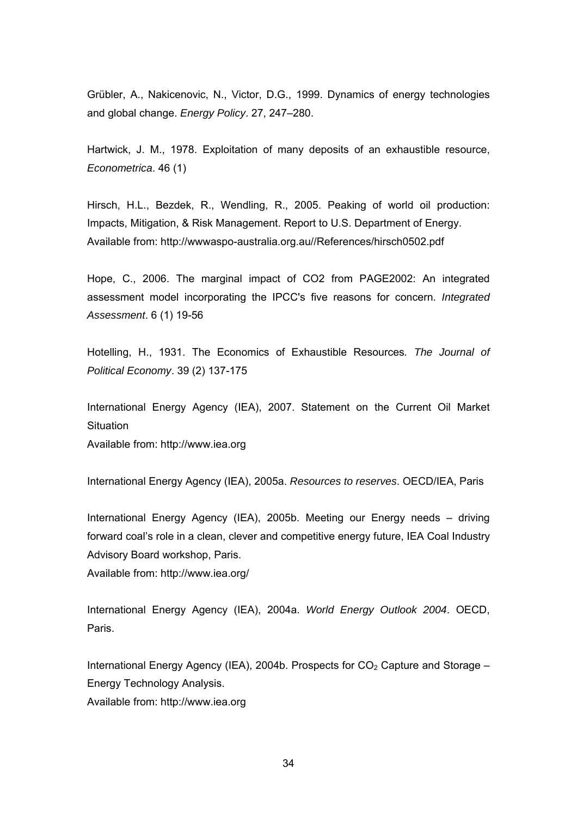Grübler, A., Nakicenovic, N., Victor, D.G., 1999. Dynamics of energy technologies and global change. *Energy Policy*. 27, 247–280.

Hartwick, J. M., 1978. Exploitation of many deposits of an exhaustible resource, *Econometrica*. 46 (1)

Hirsch, H.L., Bezdek, R., Wendling, R., 2005. Peaking of world oil production: Impacts, Mitigation, & Risk Management. Report to U.S. Department of Energy. Available from: http://wwwaspo-australia.org.au//References/hirsch0502.pdf

Hope, C., 2006. The marginal impact of CO2 from PAGE2002: An integrated assessment model incorporating the IPCC's five reasons for concern. *Integrated Assessment*. 6 (1) 19-56

Hotelling, H., 1931. The Economics of Exhaustible Resources*. The Journal of Political Economy*. 39 (2) 137-175

International Energy Agency (IEA), 2007. Statement on the Current Oil Market **Situation** 

Available from: http://www.iea.org

International Energy Agency (IEA), 2005a. *Resources to reserves*. OECD/IEA, Paris

International Energy Agency (IEA), 2005b. Meeting our Energy needs – driving forward coal's role in a clean, clever and competitive energy future, IEA Coal Industry Advisory Board workshop, Paris.

Available from: http://www.iea.org/

International Energy Agency (IEA), 2004a. *World Energy Outlook 2004*. OECD, Paris.

International Energy Agency (IEA), 2004b. Prospects for  $CO<sub>2</sub>$  Capture and Storage – Energy Technology Analysis.

Available from: http://www.iea.org

34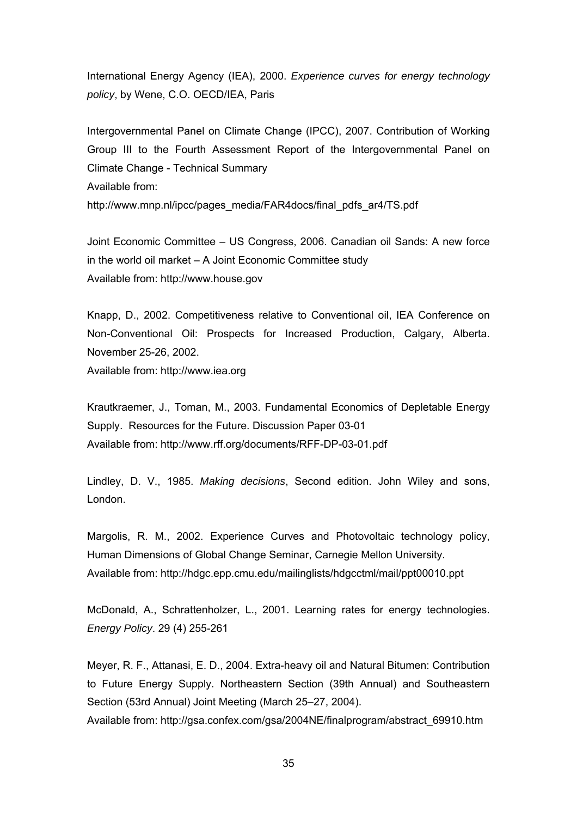International Energy Agency (IEA), 2000. *Experience curves for energy technology policy*, by Wene, C.O. OECD/IEA, Paris

Intergovernmental Panel on Climate Change (IPCC), 2007. Contribution of Working Group III to the Fourth Assessment Report of the Intergovernmental Panel on Climate Change - Technical Summary Available from: http://www.mnp.nl/ipcc/pages\_media/FAR4docs/final\_pdfs\_ar4/TS.pdf

Joint Economic Committee – US Congress, 2006. Canadian oil Sands: A new force in the world oil market – A Joint Economic Committee study Available from: http://www.house.gov

Knapp, D., 2002. Competitiveness relative to Conventional oil, IEA Conference on Non-Conventional Oil: Prospects for Increased Production, Calgary, Alberta. November 25-26, 2002.

Available from: http://www.iea.org

Krautkraemer, J., Toman, M., 2003. Fundamental Economics of Depletable Energy Supply. Resources for the Future. Discussion Paper 03-01 Available from: http://www.rff.org/documents/RFF-DP-03-01.pdf

Lindley, D. V., 1985. *Making decisions*, Second edition. John Wiley and sons, London.

Margolis, R. M., 2002. Experience Curves and Photovoltaic technology policy, Human Dimensions of Global Change Seminar, Carnegie Mellon University. Available from: http://hdgc.epp.cmu.edu/mailinglists/hdgcctml/mail/ppt00010.ppt

McDonald, A., Schrattenholzer, L., 2001. Learning rates for energy technologies. *Energy Policy*. 29 (4) 255-261

Meyer, R. F., Attanasi, E. D., 2004. Extra-heavy oil and Natural Bitumen: Contribution to Future Energy Supply. Northeastern Section (39th Annual) and Southeastern Section (53rd Annual) Joint Meeting (March 25–27, 2004).

Available from: http://gsa.confex.com/gsa/2004NE/finalprogram/abstract\_69910.htm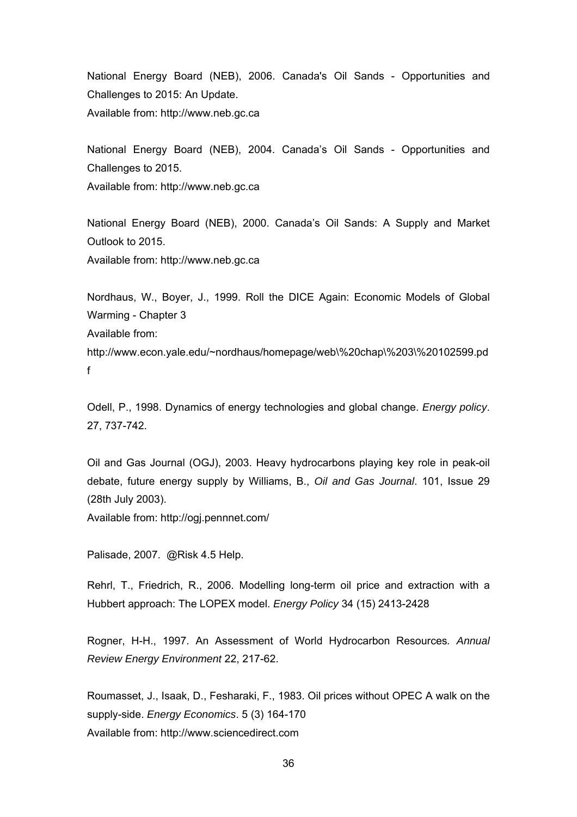National Energy Board (NEB), 2006. Canada's Oil Sands - Opportunities and Challenges to 2015: An Update. Available from: http://www.neb.gc.ca

National Energy Board (NEB), 2004. Canada's Oil Sands - Opportunities and Challenges to 2015.

Available from: http://www.neb.gc.ca

National Energy Board (NEB), 2000. Canada's Oil Sands: A Supply and Market Outlook to 2015.

Available from: http://www.neb.gc.ca

Nordhaus, W., Boyer, J., 1999. Roll the DICE Again: Economic Models of Global Warming - Chapter 3 Available from: http://www.econ.yale.edu/~nordhaus/homepage/web\%20chap\%203\%20102599.pd f

Odell, P., 1998. Dynamics of energy technologies and global change. *Energy policy*. 27, 737-742.

Oil and Gas Journal (OGJ), 2003. Heavy hydrocarbons playing key role in peak-oil debate, future energy supply by Williams, B., *Oil and Gas Journal*. 101, Issue 29 (28th July 2003).

Available from: http://ogj.pennnet.com/

Palisade, 2007. @Risk 4.5 Help.

Rehrl, T., Friedrich, R., 2006. Modelling long-term oil price and extraction with a Hubbert approach: The LOPEX model. *Energy Policy* 34 (15) 2413-2428

Rogner, H-H., 1997. An Assessment of World Hydrocarbon Resources*. Annual Review Energy Environment* 22, 217-62.

Roumasset, J., Isaak, D., Fesharaki, F., 1983. Oil prices without OPEC A walk on the supply-side. *Energy Economics*. 5 (3) 164-170 Available from: http://www.sciencedirect.com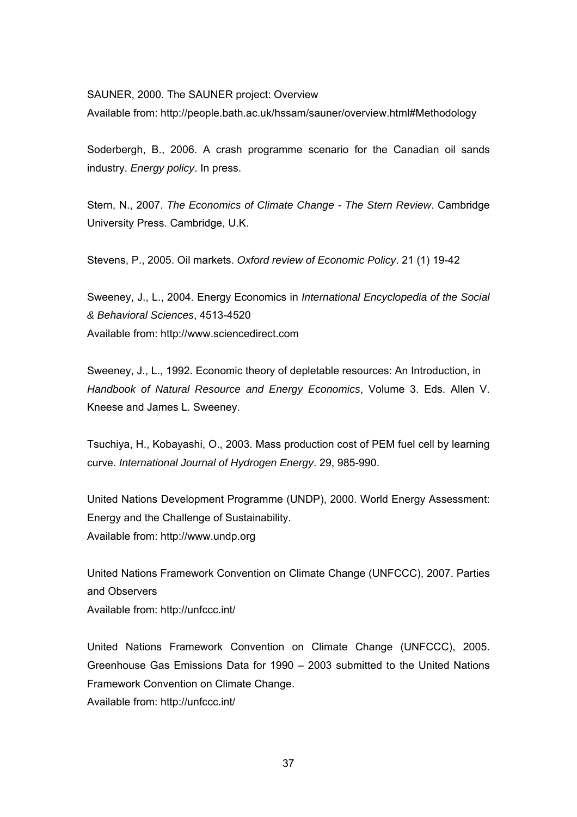SAUNER, 2000. The SAUNER project: Overview

Available from: http://people.bath.ac.uk/hssam/sauner/overview.html#Methodology

Soderbergh, B., 2006. A crash programme scenario for the Canadian oil sands industry. *Energy policy*. In press.

Stern, N., 2007. *The Economics of Climate Change - The Stern Review*. Cambridge University Press. Cambridge, U.K.

Stevens, P., 2005. Oil markets. *Oxford review of Economic Policy*. 21 (1) 19-42

Sweeney, J., L., 2004. Energy Economics in *International Encyclopedia of the Social & Behavioral Sciences*, 4513-4520 Available from: http://www.sciencedirect.com

Sweeney, J., L., 1992. Economic theory of depletable resources: An Introduction, in *Handbook of Natural Resource and Energy Economics*, Volume 3. Eds. Allen V. Kneese and James L. Sweeney.

Tsuchiya, H., Kobayashi, O., 2003. Mass production cost of PEM fuel cell by learning curve. *International Journal of Hydrogen Energy*. 29, 985-990.

United Nations Development Programme (UNDP), 2000. World Energy Assessment: Energy and the Challenge of Sustainability. Available from: http://www.undp.org

United Nations Framework Convention on Climate Change (UNFCCC), 2007. Parties and Observers Available from: http://unfccc.int/

United Nations Framework Convention on Climate Change (UNFCCC), 2005. Greenhouse Gas Emissions Data for 1990 – 2003 submitted to the United Nations Framework Convention on Climate Change. Available from: http://unfccc.int/